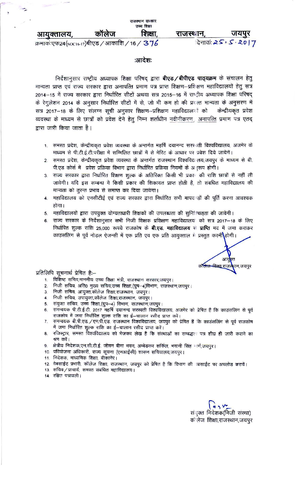शिक्षा.

राजस्थान.

दिनाकः 25, 5.2017

क्रमाकं:एफ24(NOC16-17)बीएड / आकाशि / 16 /  $376$ 

आयुक्तालय,

#### :आदेश:

निर्देशानुसार राष्ट्रीय अध्यापक शिक्षा परिषद् द्वारा **बीएड / बीपीएड पाठ्यक्रम** के संचालन हेतु मान्यता प्राप्त एवं राज्य सरकार द्वारा अनापत्ति प्रमाण पत्र प्राप्त शिक्षण–प्रशिक्षण महाविद्यालयों हेतु सत्र 2014–15 में राज्य सरकार द्वारा निर्धारित सीटों अथवा सत्र 2015–16 में राष्ट्रीय अध्यापक शिक्षा परिषद् के रेगुलेशन 2014 के अनुसार निर्धारित सीटों में से, जो भी कम हो की प्रवत्त मान्यता के अनुसरण में सत्र 2017–18 के लिए संलग्न सूची अनुसार शिक्षण--प्रशिक्षण महाविद्यालयों को केन्द्रीयकृत प्रवेश व्यवस्था के माध्यम से छात्रों को प्रवेश देने हेतु निम्न शर्ताधीन नवीनीकरण, अनापत्ति प्रमाण पत्र एतद् द्वारा जारी किया जाता है।

- 1. समस्त प्रदेश, केन्द्रीयकृत प्रवेश व्यवस्था के अन्तर्गत महर्षि दयानन्द सरस्वती विश्वविद्यालय, अजमेर के माध्यम से पी.टी.ई.टी.परीक्षा में सम्मिलित छात्रों में से मेरिट के आधार पर प्रवेश दिये जायेगें।
- समस्त प्रदेश, केन्द्रीयकृत प्रवेश व्यवस्था के अन्तर्गत राजस्थान विश्वविद्यालय,जयपुर के माध्यम से बी.  $\overline{2}$ पी.एड कोर्स में प्रवेश प्रक्रिया विभाग द्वारा निर्धारित प्रक्रिया नियमों के अनुरूप होगी।
- राज्य सरकार द्वारा निर्धारित शिक्षण शुल्क के अतिरिक्त किसी भी प्रकार की राशि छात्रों से नहीं ली  $3 -$ जावेगी। यदि इस सम्बन्ध में किसी प्रकार की शिकायत प्राप्त होती है, तो संबधित महाविद्यालय की मान्यता को तुरन्त प्रभाव से समाप्त कर दिया जायेगा।
- 4. महाविद्यालय को एनसीटीई एवं राज्य सरकार द्वारा निर्धारित सभी मापदण्डों की पूर्ति करना आवश्यक होगा।
- 5. महाविद्यालयों द्वारा उपयुक्त योग्यताधारी शिक्षकों की उपलब्धता की सुनिश्चितता की जावेगी।
- 6. राज्य सरकार के निर्देशानुसार सभी निजी शिक्षक प्रशिक्षण महाविद्यालय को सत्र 2017-18 के लिए निर्धारित शुल्क राशि 25,000 रूपये राजकोष के बी.एड. महाविद्यालय से प्राप्ति मद में जमा कराकर काउंसलिंग से पूर्व नोडल ऐजन्सी में एक प्रति एवं एक प्रति आयुक्ताल में प्रस्तुत करनी<mark>\</mark>होगी।

आर लै<del>ज शिक्षा</del> राज ान,जयपुर

प्रतिलिपि सूचनार्थ प्रेषित है:–

- 1. विशिष्टं सचिव,माननीय उच्च शिक्षा मंत्री, राजस्थान सरकार,जयपुर।
- 2. निजी सचिव, अति0 मुख्य सचिव,उच्च शिक्षा,(ग्रुप-4)विभाग, राजस्थान,जयपुर।
- निजी सचिव, आयुक्त,कॉलेज शिक्षा,राजस्थान, जयपुर।
- 
- 5. संयुक्त सचिव, उच्च शिक्षा, (ग्रुप-4) विभाग, राजस्थान, जयपुर।
- 6. समन्वयक पी.टी.ई.टी. 2017 महर्षि दयानन्द सरस्वती विश्वविद्यालय, अजमेर को प्रेषित हैं कि काउंसलिंग से पूर्व राजकोष में जमा निर्धारित शुल्क राशि का ई-चालान रसीद प्राप्त करें।
- 7. समन्वयक बी.पी.एड. / एम.पी.एड. राजस्थान विश्वविद्यालय, जयपुर को प्रेषित हैं कि काउंसलिंग से पूर्व राजकोष में जमा निर्धारित शुल्क राशि का ई—चालान रसीद प्राप्त करें।
- रजिस्ट्रार, समस्त विश्वविद्यालय को भेजकर लेख है कि संस्थाओं का सम्बद्धता पत्र शीघ्र ही जारी कराने का 8. श्रम करें।
- 9. क्षेत्रीय निदेशक,एन.सी.टी.ई. जीवन बीमा भवन, अम्बेडकर सर्किल, भवानी सिंह मार्ग,जयपुर।
- 10. परियोजना अधिकारी, राज्य सूचना (एनआईसी) शासन सचिवालय,जयपुर।
- 11. निदेशक, माध्यमिक शिक्षा, बीकानेर।
- 12. वेबसाईट प्रभारी, कॉलेज शिक्षा, राजस्थान, जयपुर को प्रेषित है कि विभाग की विसाईट पर अपलोड करावें।
- 13. सचिव/प्राचार्य, समस्त संबंधित महाविद्यालय।
- 14. रक्षित पत्रावली।

संयुक्त निदेशक(निजी संस्था) कॉलेज शिक्षा,राजस्थान,जयपुर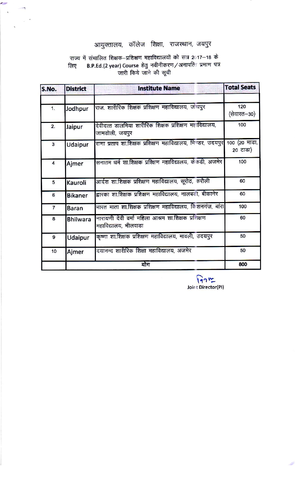# आयुक्तालय, कॉलेज शिक्षा, राजस्थान, जयपुर

### राज्य में संचालित शिक्षक–प्रशिक्षण महाविद्यालयों को सत्र 2017–18 के B.P.Ed.(2 year) Course हेतु नवीनीकरण/अनापत्ति प्रमाण पत्र<br>जारी किये जाने की सूची लिए

 $\sim$ 

| S.No.                   | <b>District</b> | <b>Institute Name</b>                                                      | <b>Total Seats</b> |
|-------------------------|-----------------|----------------------------------------------------------------------------|--------------------|
| 1.                      | Jodhpur         | राज, शारीरिक शिक्षक प्रशिक्षण महाविद्यालय, जोधपुर                          | 120<br>(सेवारत—30) |
| 2.                      | Jaipur          | देवीदत्त डालमिया शारीरिक शिक्षक प्रशिक्षण महाविद्यालय,<br>जामडोली, जयपूर   | 100                |
| $\overline{\mathbf{3}}$ | Udaipur         | राणा प्रताप शा.शिक्षक प्रशिक्षण महाविद्यालय, भिण्डर, उदयपुर 100 (20 माडा,  | 20 टाडा)           |
| $\overline{\mathbf{4}}$ | Ajmer           | सनातम धर्म शा.शिक्षक प्रश्क्षिण महाविद्यालय, केकडी, अजमेर                  | 100                |
| 5                       | Kauroli         | आर्दश शा.शिक्षक प्रशिक्षण महाविद्यालय, सूरोठ, करौली                        | 60                 |
| 6                       | <b>Bikaner</b>  | द्वारका शा.शिक्षक प्रशिक्षण महाविद्यालय, नालबड़ी, बीकानेर                  | 60                 |
| $\overline{7}$          | <b>Baran</b>    | भारत माता शा.शिक्षक प्रशिक्षण महाविद्यालय, किशनगंज, बांरा                  | 100                |
| 8                       | <b>Bhilwara</b> | नारायणी देवी वर्मा महिला आश्रम शा.शिक्षक प्रशिक्षण<br>महाविद्यालय, भीलवाडा | 60                 |
| 9                       | Udaipur         | कृष्णा शा.शिक्षक प्रशिक्षण महाविद्यालय, मावली, उदयपुर                      | 50                 |
| 10                      | Ajmer           | दयानन्द शारीरिक शिक्षा महाविद्यालय, अजमेर                                  | 50                 |
|                         |                 | योग                                                                        | 800                |

 $\overbrace{\mathsf{Iq}\cap \mathsf{V}^{\bullet}_{\bullet}}^{\mathsf{Iq}\cap \mathsf{V}^{\bullet}_{\bullet}}$  Joint Director(PI)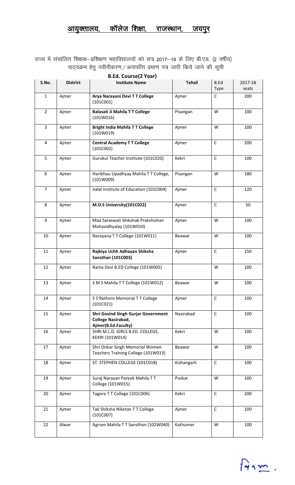## <u>आयुक्तालय, कॉलेज शिक्षा, राजस्थान, जयपुर</u>

राज्य में संचालित शिक्षक—प्रशिक्षण महाविद्यालयों को सत्र 2017—18 के लिए बी.एड. (2 वर्षीय) पाठ्यक्रम हेतु नवीनीकरण/अनापत्ति प्रमाण पत्र जारी किये जाने की सूची

| <b>B.Ed. Course(2 Year)</b> |                 |                                                                                                |               |                     |                  |  |  |
|-----------------------------|-----------------|------------------------------------------------------------------------------------------------|---------------|---------------------|------------------|--|--|
| S.No.                       | <b>District</b> | <b>Institute Name</b>                                                                          | <b>Tehsil</b> | <b>B.Ed</b><br>Type | 2017-18<br>seats |  |  |
| $\mathbf{1}$                | Ajmer           | Arya Narayani Devi T T College<br>(101C001)                                                    | Ajmer         | $\mathsf{C}$        | 200              |  |  |
| $\overline{2}$              | Ajmer           | <b>Balasati Ji Mahila T T College</b><br>(101W016)                                             | Pisangan      | W                   | 100              |  |  |
| $\overline{3}$              | Ajmer           | <b>Bright India Mahila TT College</b><br>(101W019)                                             | Ajmer         | W                   | 100              |  |  |
| $\overline{4}$              | Ajmer           | <b>Central Academy T T College</b><br>(101C002)                                                | Ajmer         | $\mathsf{C}$        | 200              |  |  |
| 5                           | Ajmer           | Gurukul Teacher Institute (101C020)                                                            | Kekri         | $\mathsf C$         | 100              |  |  |
| 6                           | Ajmer           | Haribhau Upadhyay Mahila TT College,<br>(101W009)                                              | Pisangan      | W                   | 180              |  |  |
| $\overline{7}$              | Ajmer           | Jialal Institute of Education (101C004)                                                        | Ajmer         | $\mathsf C$         | 120              |  |  |
| 8                           | Ajmer           | M.D.S University(101C022)                                                                      | Ajmer         | $\mathsf C$         | 50               |  |  |
| 9                           | Ajmer           | Maa Saraswati Shikshak Prakshishan<br>Mahavidhyalay (101W010)                                  | Ajmer         | W                   | 100              |  |  |
| 10                          | Ajmer           | Narayana TT College (101W011)                                                                  | Beawar        | W                   | 100              |  |  |
| 11                          | Ajmer           | Rajkiya Uchh Adhayan Shiksha<br><b>Sansthan (101C003)</b>                                      | Ajmer         | C                   | 150              |  |  |
| 12                          | Ajmer           | Rama Devi B.ED College (101W005)                                                               |               | W                   | 100              |  |  |
| 13                          | Ajmer           | S M S Mahila T T College (101W012)                                                             | Beawar        | W                   | 100              |  |  |
| 14                          | Ajmer           | S S Rathore Memorial T T College<br>(101C021)                                                  | Ajmer         | $\mathsf C$         | 100              |  |  |
| 15                          | Ajmer           | <b>Shri Govind Singh Gurjar Government</b><br><b>College Nasirabad,</b><br>Ajmer(B.Ed.Faculty) | Nasirabad     | $\mathsf C$         | 100              |  |  |
| 16                          | Ajmer           | SHRI M.L.D. GIRLS B.ED. COLLEGE,<br>KEKRI (101W014)                                            | Kekri         | W                   | 100              |  |  |
| 17                          | Ajmer           | Shri Onkar Singh Memorial Women<br>Teachers Training College (101W013)                         | Beawar        | W                   | 100              |  |  |
| 18                          | Ajmer           | ST. STEPHEN COLLEGE (101C018)                                                                  | Kishangarh    | $\mathsf C$         | 100              |  |  |
| 19                          | Ajmer           | Suraj Narayan Pareek Mahila TT<br>College (101W015)                                            | Puskar        | W                   | 100              |  |  |
| 20                          | Ajmer           | Tagore TT College (101C006)                                                                    | Kekri         | $\mathsf C$         | 200              |  |  |
| 21                          | Ajmer           | Tak Shiksha Niketan TT College<br>(101C007)                                                    | Ajmer         | $\mathsf C$         | 100              |  |  |
| 22                          | Alwar           | Agrsen Mahila TT Sansthan (102W040)                                                            | Kathumer      | W                   | 100              |  |  |

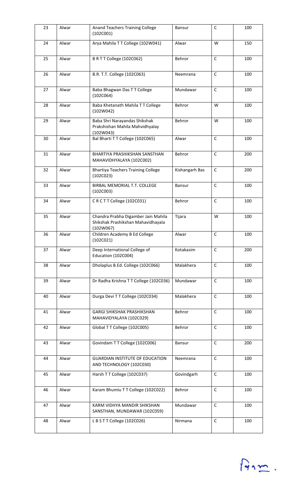| 23 | Alwar | Anand Teachers Training College<br>(102C001)                                           | Bansur         | $\mathsf C$  | 100 |
|----|-------|----------------------------------------------------------------------------------------|----------------|--------------|-----|
| 24 | Alwar | Arya Mahila TT College (102W041)                                                       | Alwar          | W            | 150 |
| 25 | Alwar | BRTT College (102C062)                                                                 | Behror         | $\mathsf C$  | 100 |
| 26 | Alwar | B.R. T.T. College (102C063)                                                            | Neemrana       | $\mathsf{C}$ | 100 |
| 27 | Alwar | Baba Bhagwan Das T T College<br>(102C064)                                              | Mundawar       | $\mathsf{C}$ | 100 |
| 28 | Alwar | Baba Khetanath Mahila TT College<br>(102W042)                                          | Behror         | W            | 100 |
| 29 | Alwar | Baba Shri Narayandas Shikshak<br>Prakshishan Mahila Mahvidhyalay<br>(102W043)          | Behror         | W            | 100 |
| 30 | Alwar | Bal Bharti T T College (102C065)                                                       | Alwar          | $\mathsf{C}$ | 100 |
| 31 | Alwar | BHARTIYA PRASHIKSHAN SANSTHAN<br>MAHAVIDHYALAYA (102C002)                              | Behror         | $\mathsf{C}$ | 200 |
| 32 | Alwar | <b>Bhartiya Teachers Training College</b><br>(102C023)                                 | Kishangarh Bas | $\mathsf{C}$ | 200 |
| 33 | Alwar | BIRBAL MEMORIAL T.T. COLLEGE<br>(102C003)                                              | Bansur         | $\mathsf{C}$ | 100 |
| 34 | Alwar | CRCTTCollege (102C031)                                                                 | Behror         | $\mathsf{C}$ | 100 |
| 35 | Alwar | Chandra Prabha Digamber Jain Mahila<br>Shikshak Prashikshan Mahavidhayala<br>(102W067) | Tijara         | W            | 100 |
| 36 | Alwar | Children Academy B Ed College<br>(102C021)                                             | Alwar          | $\mathsf C$  | 100 |
| 37 | Alwar | Deep International College of<br>Education (102C004)                                   | Kotakasim      | $\mathsf{C}$ | 200 |
| 38 | Alwar | Dholaplus B.Ed. College (102C066)                                                      | Malakhera      | $\mathsf{C}$ | 100 |
| 39 | Alwar | Dr Radha Krishna TT College (102C036)                                                  | Mundawar       | $\mathsf C$  | 100 |
| 40 | Alwar | Durga Devi T T College (102C034)                                                       | Malakhera      | $\mathsf{C}$ | 100 |
| 41 | Alwar | <b>GARGI SHIKSHAK PRASHIKSHAN</b><br>MAHAVIDYALAYA (102C029)                           | Behror         | $\mathsf{C}$ | 100 |
| 42 | Alwar | Global TT College (102C005)                                                            | Behror         | $\mathsf C$  | 100 |
| 43 | Alwar | Govindam TT College (102C006)                                                          | Bansur         | $\mathsf{C}$ | 200 |
| 44 | Alwar | <b>GUARDIAN INSTITUTE OF EDUCATION</b><br>AND TECHNOLOGY (102C030)                     | Neemrana       | $\mathsf{C}$ | 100 |
| 45 | Alwar | Harsh TT College (102C037)                                                             | Govindgarh     | $\mathsf{C}$ | 100 |
| 46 | Alwar | Karam Bhumiu T T College (102C022)                                                     | Behror         | $\mathsf{C}$ | 100 |
| 47 | Alwar | KARM VIDHYA MANDIR SHIKSHAN<br>SANSTHAN, MUNDAWAR (102C059)                            | Mundawar       | C            | 100 |
| 48 | Alwar | LBSTTCollege (102C026)                                                                 | Nirmana        | $\mathsf C$  | 100 |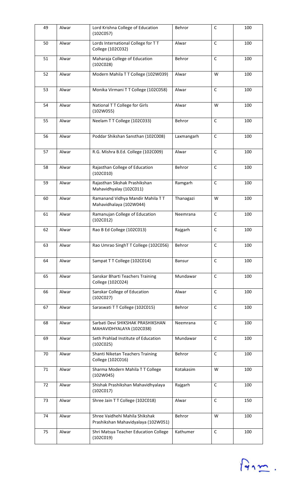| 49 | Alwar | Lord Krishna College of Education<br>(102C057)                        | Behror     | $\mathsf{C}$ | 100 |
|----|-------|-----------------------------------------------------------------------|------------|--------------|-----|
| 50 | Alwar | Lords International College for TT<br>College (102C032)               | Alwar      | $\mathsf{C}$ | 100 |
| 51 | Alwar | Maharaja College of Education<br>(102C028)                            | Behror     | $\mathsf C$  | 100 |
| 52 | Alwar | Modern Mahila TT College (102W039)                                    | Alwar      | W            | 100 |
| 53 | Alwar | Monika Virmani T T College (102C058)                                  | Alwar      | $\mathsf{C}$ | 100 |
| 54 | Alwar | National TT College for Girls<br>(102W055)                            | Alwar      | W            | 100 |
| 55 | Alwar | Neelam TT College (102C033)                                           | Behror     | $\mathsf{C}$ | 100 |
| 56 | Alwar | Poddar Shikshan Sansthan (102C008)                                    | Laxmangarh | $\mathsf C$  | 100 |
| 57 | Alwar | R.G. Mishra B.Ed. College (102C009)                                   | Alwar      | $\mathsf C$  | 100 |
| 58 | Alwar | Rajasthan College of Education<br>(102C010)                           | Behror     | $\mathsf{C}$ | 100 |
| 59 | Alwar | Rajasthan Sikshak Prashikshan<br>Mahavidhyalay (102C011)              | Ramgarh    | $\mathsf C$  | 100 |
| 60 | Alwar | Ramanand Vidhya Mandir Mahila TT<br>Mahavidhalaya (102W044)           | Thanagazi  | W            | 100 |
| 61 | Alwar | Ramanujan College of Education<br>(102C012)                           | Neemrana   | $\mathsf C$  | 100 |
| 62 | Alwar | Rao B Ed College (102C013)                                            | Rajgarh    | $\mathsf C$  | 100 |
| 63 | Alwar | Rao Umrao SinghT T College (102C056)                                  | Behror     | $\mathsf{C}$ | 100 |
| 64 | Alwar | Sampat T T College (102C014)                                          | Bansur     | $\mathsf{C}$ | 100 |
| 65 | Alwar | Sanskar Bharti Teachers Training<br>College (102C024)                 | Mundawar   | $\mathsf C$  | 100 |
| 66 | Alwar | Sanskar College of Education<br>(102C027)                             | Alwar      | $\mathsf{C}$ | 100 |
| 67 | Alwar | Saraswati TT College (102C015)                                        | Behror     | $\mathsf{C}$ | 100 |
| 68 | Alwar | Sarbati Devi SHIKSHAK PRASHIKSHAN<br>MAHAVIDHYALAYA (102C038)         | Neemrana   | $\mathsf{C}$ | 100 |
| 69 | Alwar | Seth Prahlad Institute of Education<br>(102C025)                      | Mundawar   | $\mathsf C$  | 100 |
| 70 | Alwar | Shanti Niketan Teachers Training<br>College (102C016)                 | Behror     | $\mathsf{C}$ | 100 |
| 71 | Alwar | Sharma Modern Mahila TT College<br>(102W045)                          | Kotakasim  | W            | 100 |
| 72 | Alwar | Shishak Prashikshan Mahavidhyalaya<br>(102C017)                       | Rajgarh    | $\mathsf C$  | 100 |
| 73 | Alwar | Shree Jain TT College (102C018)                                       | Alwar      | $\mathsf{C}$ | 150 |
| 74 | Alwar | Shree Vaidhehi Mahila Shikshak<br>Prashikshan Mahavidyalaya (102W051) | Behror     | W            | 100 |
| 75 | Alwar | Shri Matsya Teacher Education College<br>(102C019)                    | Kathumer   | $\mathsf C$  | 100 |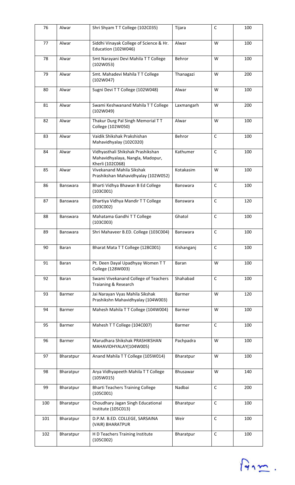| 76  | Alwar           | Shri Shyam TT College (102C035)                                                           | Tijara          | $\mathsf{C}$ | 100 |
|-----|-----------------|-------------------------------------------------------------------------------------------|-----------------|--------------|-----|
| 77  | Alwar           | Siddhi Vinayak College of Science & Hr.<br>Education (102W046)                            | Alwar           | W            | 100 |
| 78  | Alwar           | Smt Narayani Devi Mahila TT College<br>(102W053)                                          | Behror          | W            | 100 |
| 79  | Alwar           | Smt. Mahadevi Mahila TT College<br>(102W047)                                              | Thanagazi       | W            | 200 |
| 80  | Alwar           | Sugni Devi TT College (102W048)                                                           | Alwar           | W            | 100 |
| 81  | Alwar           | Swami Keshwanand Mahila TT College<br>(102W049)                                           | Laxmangarh      | W            | 200 |
| 82  | Alwar           | Thakur Durg Pal Singh Memorial TT<br>College (102W050)                                    | Alwar           | W            | 100 |
| 83  | Alwar           | Vaidik Shikshak Prakshishan<br>Mahavidhyalay (102C020)                                    | Behror          | $\mathsf{C}$ | 100 |
| 84  | Alwar           | Vidhyasthali Shikshak Prashikshan<br>Mahavidhyalaya, Nangla, Madopur,<br>Kherli (102C068) | Kathumer        | $\mathsf C$  | 100 |
| 85  | Alwar           | Vivekanand Mahila Sikshak<br>Prashikshan Mahavidhyalay (102W052)                          | Kotakasim       | W            | 100 |
| 86  | Banswara        | Bharti Vidhya Bhawan B Ed College<br>(103C001)                                            | Banswara        | $\mathsf{C}$ | 100 |
| 87  | <b>Banswara</b> | Bhartiya Vidhya Mandir TT College<br>(103C002)                                            | <b>Banswara</b> | $\mathsf{C}$ | 120 |
| 88  | <b>Banswara</b> | Mahatama Gandhi T T College<br>(103C003)                                                  | Ghatol          | $\mathsf{C}$ | 100 |
| 89  | Banswara        | Shri Mahaveer B.ED. College (103C004)                                                     | <b>Banswara</b> | $\mathsf{C}$ | 100 |
| 90  | Baran           | Bharat Mata TT College (128C001)                                                          | Kishanganj      | C            | 100 |
| 91  | Baran           | Pt. Deen Dayal Upadhyay Women TT<br>College (128W003)                                     | Baran           | W            | 100 |
| 92  | <b>Baran</b>    | Swami Vivekanand College of Teachers<br>Traianing & Research                              | Shahabad        | C            | 100 |
| 93  | Barmer          | Jai Narayan Vyas Mahila Sikshak<br>Prashikshn Mahavidhyalay (104W003)                     | Barmer          | W            | 120 |
| 94  | <b>Barmer</b>   | Mahesh Mahila T T College (104W004)                                                       | Barmer          | W            | 100 |
| 95  | Barmer          | Mahesh T T College (104C007)                                                              | Barmer          | C            | 100 |
| 96  | Barmer          | Marudhara Shikshak PRASHIKSHAN<br>MAHAVIDHYALAY(104W005)                                  | Pachpadra       | W            | 100 |
| 97  | Bharatpur       | Anand Mahila TT College (105W014)                                                         | Bharatpur       | W            | 100 |
| 98  | Bharatpur       | Arya Vidhyapeeth Mahila TT College<br>(105W015)                                           | Bhusawar        | W            | 140 |
| 99  | Bharatpur       | <b>Bharti Teachers Training College</b><br>(105C001)                                      | Nadbai          | $\mathsf{C}$ | 200 |
| 100 | Bharatpur       | Choudhary Jagan Singh Educational<br>Institute (105C013)                                  | Bharatpur       | $\mathsf{C}$ | 100 |
| 101 | Bharatpur       | D.P.M. B.ED. COLLEGE, SARSAINA<br>(VAIR) BHARATPUR                                        | Weir            | $\mathsf{C}$ | 100 |
| 102 | Bharatpur       | H D Teachers Training Institute<br>(105C002)                                              | Bharatpur       | $\mathsf C$  | 100 |

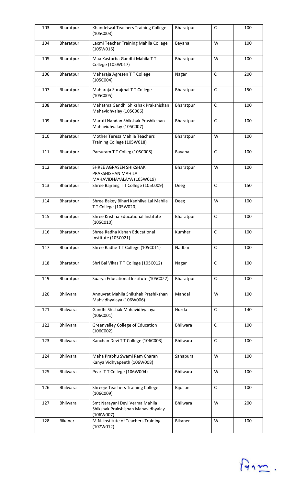| 103 | Bharatpur       | Khandelwal Teachers Training College<br>(105C003)                                 | Bharatpur       | C            | 100 |
|-----|-----------------|-----------------------------------------------------------------------------------|-----------------|--------------|-----|
| 104 | Bharatpur       | Laxmi Teacher Training Mahila College<br>(105W016)                                | Bayana          | W            | 100 |
| 105 | Bharatpur       | Maa Kasturba Gandhi Mahila TT<br>College (105W017)                                | Bharatpur       | W            | 100 |
| 106 | Bharatpur       | Maharaja Agresen TT College<br>(105C004)                                          | Nagar           | C            | 200 |
| 107 | Bharatpur       | Maharaja Surajmal TT College<br>(105C005)                                         | Bharatpur       | $\mathsf{C}$ | 150 |
| 108 | Bharatpur       | Mahatma Gandhi Shikshak Prakshishan<br>Mahavidhyalay (105C006)                    | Bharatpur       | $\mathsf C$  | 100 |
| 109 | Bharatpur       | Maruti Nandan Shikshak Prashikshan<br>Mahavidhyalay (105C007)                     | Bharatpur       | $\mathsf C$  | 100 |
| 110 | Bharatpur       | Mother Teresa Mahila Teachers<br>Training College (105W018)                       | Bharatpur       | W            | 100 |
| 111 | Bharatpur       | Parsuram T T Colleg (105C008)                                                     | Bayana          | $\mathsf{C}$ | 100 |
| 112 | Bharatpur       | SHREE AGRASEN SHIKSHAK<br>PRAKSHISHAN MAHILA<br>MAHAVIDHAYALAYA (105W019)         | Bharatpur       | W            | 100 |
| 113 | Bharatpur       | Shree Bajrang TT College (105C009)                                                | Deeg            | $\mathsf C$  | 150 |
| 114 | Bharatpur       | Shree Bakey Bihari Kanhilya Lal Mahila<br>TT College (105W020)                    | Deeg            | W            | 100 |
| 115 | Bharatpur       | Shree Krishna Educational Institute<br>(105C010)                                  | Bharatpur       | $\mathsf C$  | 100 |
| 116 | Bharatpur       | Shree Radha Kishan Educational<br>Institute (105C021)                             | Kumher          | $\mathsf C$  | 100 |
| 117 | Bharatpur       | Shree Radhe TT College (105C011)                                                  | Nadbai          | C            | 100 |
| 118 | Bharatpur       | Shri Bal Vikas TT College (105C012)                                               | Nagar           | C            | 100 |
| 119 | Bharatpur       | Suarya Educational Institute (105C022)                                            | Bharatpur       | $\mathsf{C}$ | 100 |
| 120 | Bhilwara        | Annuvrat Mahila Shikshak Prashikshan<br>Mahvidhyalaya (106W006)                   | Mandal          | W            | 100 |
| 121 | <b>Bhilwara</b> | Gandhi Shishak Mahavidhyalaya<br>(106C001)                                        | Hurda           | $\mathsf C$  | 140 |
| 122 | Bhilwara        | Greenvalley College of Education<br>(106C002)                                     | Bhilwara        | C            | 100 |
| 123 | Bhilwara        | Kanchan Devi T T College (106C003)                                                | <b>Bhilwara</b> | C            | 100 |
| 124 | Bhilwara        | Maha Prabhu Swami Ram Charan<br>Kanya Vidhyapeeth (106W008)                       | Sahapura        | W            | 100 |
| 125 | Bhilwara        | Pearl T T College (106W004)                                                       | <b>Bhilwara</b> | W            | 100 |
| 126 | Bhilwara        | Shreeje Teachers Training College<br>(106C009)                                    | Bijolian        | C            | 100 |
| 127 | Bhilwara        | Smt Narayani Devi Verma Mahila<br>Shikshak Prakshishan Mahavidhyalay<br>(106W007) | <b>Bhilwara</b> | W            | 200 |
| 128 | <b>Bikaner</b>  | M.N. Institute of Teachers Training<br>(107W012)                                  | <b>Bikaner</b>  | W            | 100 |

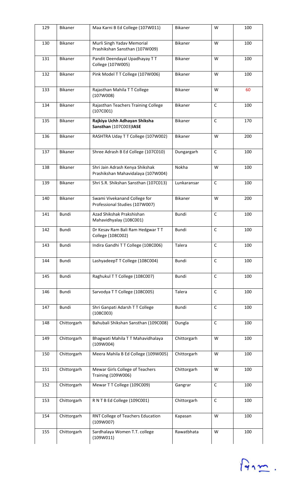| 129 | Bikaner     | Maa Karni B Ed College (107W011)                                      | Bikaner        | W           | 100 |
|-----|-------------|-----------------------------------------------------------------------|----------------|-------------|-----|
| 130 | Bikaner     | Murli Singh Yadav Memorial<br>Prashikshan Sansthan (107W009)          | <b>Bikaner</b> | W           | 100 |
| 131 | Bikaner     | Pandit Deendayal Upadhayay TT<br>College (107W005)                    | Bikaner        | W           | 100 |
| 132 | Bikaner     | Pink Model TT College (107W006)                                       | Bikaner        | W           | 100 |
| 133 | Bikaner     | Rajasthan Mahila TT College<br>(107W008)                              | Bikaner        | W           | 60  |
| 134 | Bikaner     | Rajasthan Teachers Training College<br>(107C001)                      | <b>Bikaner</b> | $\mathsf C$ | 100 |
| 135 | Bikaner     | Rajkiya Uchh Adhayan Shiksha<br>Sansthan (107C003)IASE                | <b>Bikaner</b> | $\mathsf C$ | 170 |
| 136 | Bikaner     | RASHTRA Uday T T College (107W002)                                    | Bikaner        | W           | 200 |
| 137 | Bikaner     | Shree Adrash B Ed College (107C010)                                   | Dungargarh     | $\mathsf C$ | 100 |
| 138 | Bikaner     | Shri Jain Adrash Kenya Shikshak<br>Prashikshan Mahavidalaya (107W004) | Nokha          | W           | 100 |
| 139 | Bikaner     | Shri S.R. Shikshan Sansthan (107C013)                                 | Lunkaransar    | $\mathsf C$ | 100 |
| 140 | Bikaner     | Swami Vivekanand College for<br>Professional Studies (107W007)        | <b>Bikaner</b> | W           | 200 |
| 141 | Bundi       | Azad Shikshak Prakshishan<br>Mahavidhyalay (108C001)                  | <b>Bundi</b>   | $\mathsf C$ | 100 |
| 142 | Bundi       | Dr Kesav Ram Bali Ram Hedgwar TT<br>College (108C002)                 | Bundi          | $\mathsf C$ | 100 |
| 143 | Bundi       | Indira Gandhi TT College (108C006)                                    | Talera         | $\mathsf C$ | 100 |
| 144 | Bundi       | LashyadeepT T College (108C004)                                       | Bundi          | $\mathsf C$ | 100 |
| 145 | Bundi       | Raghukul T T College (108C007)                                        | Bundi          | $\mathsf C$ | 100 |
| 146 | Bundi       | Sarvodya TT College (108C005)                                         | Talera         | $\mathsf C$ | 100 |
| 147 | Bundi       | Shri Ganpati Adarsh T T College<br>(108C003)                          | Bundi          | $\mathsf C$ | 100 |
| 148 | Chittorgarh | Bahubali Shikshan Sansthan (109C008)                                  | Dungla         | $\mathsf C$ | 100 |
| 149 | Chittorgarh | Bhagwati Mahila TT Mahavidhalaya<br>(109W004)                         | Chittorgarh    | W           | 100 |
| 150 | Chittorgarh | Meera Mahila B Ed College (109W005)                                   | Chittorgarh    | W           | 100 |
| 151 | Chittorgarh | Mewar Girls College of Teachers<br>Training (109W006)                 | Chittorgarh    | W           | 100 |
| 152 | Chittorgarh | Mewar T T College (109C009)                                           | Gangrar        | $\mathsf C$ | 100 |
| 153 | Chittorgarh | R N T B Ed College (109C001)                                          | Chittorgarh    | $\mathsf C$ | 100 |
| 154 | Chittorgarh | RNT College of Teachers Education<br>(109W007)                        | Kapasan        | W           | 100 |
| 155 | Chittorgarh | Sardhalaya Women T.T. college<br>(109W011)                            | Rawatbhata     | W           | 100 |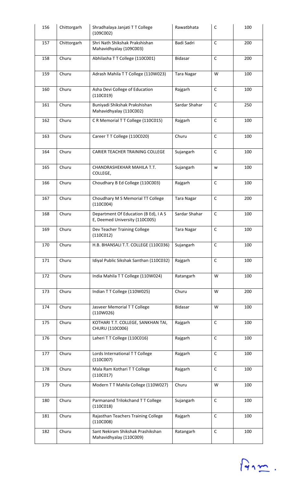| 156 | Chittorgarh | Shradhalaya Janjati T T College<br>(109C002)                            | Rawatbhata        | C            | 100 |
|-----|-------------|-------------------------------------------------------------------------|-------------------|--------------|-----|
| 157 | Chittorgarh | Shri Nath Shikshak Prakshishan<br>Mahavidhyalay (109C003)               | Badi Sadri        | $\mathsf C$  | 200 |
| 158 | Churu       | Abhilasha TT College (110C001)                                          | Bidasar           | $\mathsf C$  | 200 |
| 159 | Churu       | Adrash Mahila TT College (110W023)                                      | <b>Tara Nagar</b> | W            | 100 |
| 160 | Churu       | Asha Devi College of Education<br>(110C019)                             | Rajgarh           | $\mathsf C$  | 100 |
| 161 | Churu       | Buniyadi Shikshak Prakshishan<br>Mahavidhyalay (110C002)                | Sardar Shahar     | $\mathsf C$  | 250 |
| 162 | Churu       | CR Memorial TT College (110C015)                                        | Rajgarh           | $\mathsf{C}$ | 100 |
| 163 | Churu       | Career TT College (110C020)                                             | Churu             | $\mathsf C$  | 100 |
| 164 | Churu       | CARIER TEACHER TRAINING COLLEGE                                         | Sujangarh         | $\mathsf C$  | 100 |
| 165 | Churu       | CHANDRASHEKHAR MAHILA T.T.<br>COLLEGE,                                  | Sujangarh         | w            | 100 |
| 166 | Churu       | Choudhary B Ed College (110C003)                                        | Rajgarh           | $\mathsf C$  | 100 |
| 167 | Churu       | Choudhary M S Memorial TT College<br>(110C004)                          | <b>Tara Nagar</b> | $\mathsf C$  | 200 |
| 168 | Churu       | Department Of Education (B Ed), I A S<br>E, Deemed University (110C005) | Sardar Shahar     | $\mathsf C$  | 100 |
| 169 | Churu       | Dev Teacher Training College<br>(110C012)                               | <b>Tara Nagar</b> | $\mathsf C$  | 100 |
| 170 | Churu       | H.B. BHANSALI T.T. COLLEGE (110C036)                                    | Sujangarh         | C            | 100 |
| 171 | Churu       | Idiyal Public Sikshak Santhan (110C032)                                 | Rajgarh           | $\mathsf C$  | 100 |
| 172 | Churu       | India Mahila TT College (110W024)                                       | Ratangarh         | W            | 100 |
| 173 | Churu       | Indian TT College (110W025)                                             | Churu             | W            | 200 |
| 174 | Churu       | Jasveer Memorial TT College<br>(110W026)                                | <b>Bidasar</b>    | W            | 100 |
| 175 | Churu       | KOTHARI T.T. COLLEGE, SANKHAN TAI,<br>CHURU (110C006)                   | Rajgarh           | $\mathsf C$  | 100 |
| 176 | Churu       | Laheri TT College (110C016)                                             | Rajgarh           | $\mathsf C$  | 100 |
| 177 | Churu       | Lords International TT College<br>(110C007)                             | Rajgarh           | $\mathsf{C}$ | 100 |
| 178 | Churu       | Mala Ram Kothari T T College<br>(110C017)                               | Rajgarh           | $\mathsf C$  | 100 |
| 179 | Churu       | Modern TT Mahila College (110W027)                                      | Churu             | W            | 100 |
| 180 | Churu       | Parmanand Trilokchand TT College<br>(110C018)                           | Sujangarh         | $\mathsf C$  | 100 |
| 181 | Churu       | Rajasthan Teachers Training College<br>(110C008)                        | Rajgarh           | $\mathsf{C}$ | 100 |
| 182 | Churu       | Sant Nekiram Shikshak Prashikshan<br>Mahavidhyalay (110C009)            | Ratangarh         | $\mathsf C$  | 100 |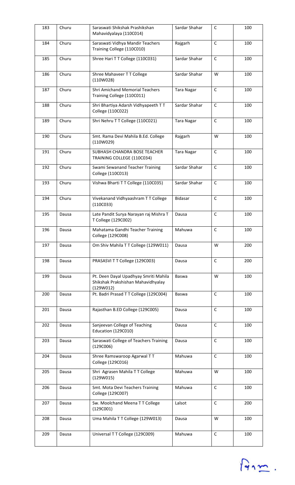| 183 | Churu | Saraswati Shikshak Prashikshan<br>Mahavidyalaya (110C014)                                | Sardar Shahar     | C            | 100 |
|-----|-------|------------------------------------------------------------------------------------------|-------------------|--------------|-----|
| 184 | Churu | Saraswati Vidhya Mandir Teachers<br>Training College (110C010)                           | Rajgarh           | $\mathsf{C}$ | 100 |
| 185 | Churu | Shree Hari T T College (110C031)                                                         | Sardar Shahar     | $\mathsf C$  | 100 |
| 186 | Churu | Shree Mahaveer TT College<br>(110W028)                                                   | Sardar Shahar     | W            | 100 |
| 187 | Churu | <b>Shri Amichand Memorial Teachers</b><br>Training College (110C011)                     | <b>Tara Nagar</b> | $\mathsf C$  | 100 |
| 188 | Churu | Shri Bhartiya Adarsh Vidhyapeeth TT<br>College (110C022)                                 | Sardar Shahar     | $\mathsf C$  | 100 |
| 189 | Churu | Shri Nehru TT College (110C021)                                                          | <b>Tara Nagar</b> | $\mathsf{C}$ | 100 |
| 190 | Churu | Smt. Rama Devi Mahila B.Ed. College<br>(110W029)                                         | Rajgarh           | W            | 100 |
| 191 | Churu | SUBHASH CHANDRA BOSE TEACHER<br>TRAINING COLLEGE (110C034)                               | <b>Tara Nagar</b> | $\mathsf C$  | 100 |
| 192 | Churu | Swami Sewanand Teacher Training<br>College (110C013)                                     | Sardar Shahar     | $\mathsf C$  | 100 |
| 193 | Churu | Vishwa Bharti TT College (110C035)                                                       | Sardar Shahar     | C            | 100 |
| 194 | Churu | Vivekanand Vidhyaashram TT College<br>(110C033)                                          | Bidasar           | $\mathsf C$  | 100 |
| 195 | Dausa | Late Pandit Surya Narayan raj Mishra T<br>T College (129C002)                            | Dausa             | $\mathsf{C}$ | 100 |
| 196 | Dausa | Mahatama Gandhi Teacher Training<br>College (129C008)                                    | Mahuwa            | $\mathsf C$  | 100 |
| 197 | Dausa | Om Shiv Mahila TT College (129W011)                                                      | Dausa             | W            | 200 |
| 198 | Dausa | PRASASVI T T College (129C003)                                                           | Dausa             | $\mathsf C$  | 200 |
| 199 | Dausa | Pt. Deen Dayal Upadhyay Smriti Mahila<br>Shikshak Prakshishan Mahavidhyalay<br>(129W012) | Baswa             | W            | 100 |
| 200 | Dausa | Pt. Badri Prasad T T College (129C004)                                                   | Baswa             | $\mathsf C$  | 100 |
| 201 | Dausa | Rajasthan B.ED College (129C005)                                                         | Dausa             | $\mathsf C$  | 100 |
| 202 | Dausa | Sanjeevan College of Teaching<br>Education (129C010)                                     | Dausa             | $\mathsf{C}$ | 100 |
| 203 | Dausa | Saraswati College of Teachers Training<br>(129C006)                                      | Dausa             | $\mathsf C$  | 100 |
| 204 | Dausa | Shree Ramswaroop Agarwal TT<br>College (129C016)                                         | Mahuwa            | $\mathsf C$  | 100 |
| 205 | Dausa | Shri Agrasen Mahila TT College<br>(129W015)                                              | Mahuwa            | W            | 100 |
| 206 | Dausa | Smt. Mota Devi Teachers Training<br>College (129C007)                                    | Mahuwa            | $\mathsf C$  | 100 |
| 207 | Dausa | Sw. Moolchand Meena TT College<br>(129C001)                                              | Lalsot            | $\mathsf C$  | 200 |
| 208 | Dausa | Uma Mahila TT College (129W013)                                                          | Dausa             | W            | 100 |
| 209 | Dausa | Universal TT College (129C009)                                                           | Mahuwa            | $\mathsf C$  | 100 |

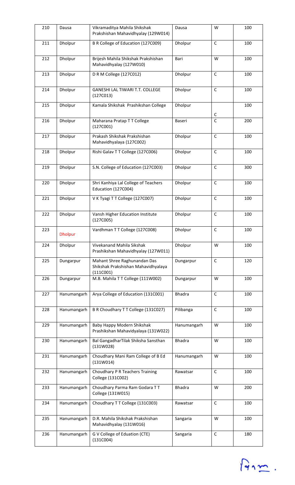| 210 | Dausa          | Vikramaditya Mahila Shikshak<br>Prakshishan Mahavidhyalay (129W014)              | Dausa         | W            | 100 |
|-----|----------------|----------------------------------------------------------------------------------|---------------|--------------|-----|
| 211 | Dholpur        | B R College of Education (127C009)                                               | Dholpur       | $\mathsf{C}$ | 100 |
| 212 | Dholpur        | Brijesh Mahila Shikshak Prakshishan<br>Mahavidhyalay (127W010)                   | Bari          | W            | 100 |
| 213 | Dholpur        | D R M College (127C012)                                                          | Dholpur       | $\mathsf{C}$ | 100 |
| 214 | Dholpur        | GANESHI LAL TIWARI T.T. COLLEGE<br>(127C013)                                     | Dholpur       | $\mathsf{C}$ | 100 |
| 215 | Dholpur        | Kamala Shikshak Prashikshan College                                              | Dholpur       | C            | 100 |
| 216 | Dholpur        | Maharana Pratap TT College<br>(127C001)                                          | Baseri        | $\mathsf{C}$ | 200 |
| 217 | Dholpur        | Prakash Shikshak Prakshishan<br>Mahavidhyalaya (127C002)                         | Dholpur       | $\mathsf C$  | 100 |
| 218 | Dholpur        | Rishi Galav T T College (127C006)                                                | Dholpur       | $\mathsf C$  | 100 |
| 219 | Dholpur        | S.N. College of Education (127C003)                                              | Dholpur       | $\mathsf{C}$ | 300 |
| 220 | Dholpur        | Shri Kanhiya Lal College of Teachers<br>Education (127C004)                      | Dholpur       | C            | 100 |
| 221 | Dholpur        | V K Tyagi T T College (127C007)                                                  | Dholpur       | $\mathsf C$  | 100 |
| 222 | Dholpur        | Vansh Higher Education Institute<br>(127C005)                                    | Dholpur       | $\mathsf C$  | 100 |
| 223 | <b>Dholpur</b> | Vardhman TT College (127C008)                                                    | Dholpur       | $\mathsf C$  | 100 |
| 224 | Dholpur        | Vivekanand Mahila Sikshak<br>Prashikshan Mahavidhyalay (127W011)                 | Dholpur       | W            | 100 |
| 225 | Dungarpur      | Mahant Shree Raghunandan Das<br>Shikshak Prakshishan Mahavidhyalaya<br>(111C001) | Dungarpur     | $\mathsf C$  | 120 |
| 226 | Dungarpur      | M.B. Mahila TT College (111W002)                                                 | Dungarpur     | W            | 100 |
| 227 | Hanumangarh    | Arya College of Education (131C001)                                              | <b>Bhadra</b> | $\mathsf{C}$ | 100 |
| 228 | Hanumangarh    | B R Choudhary T T College (131C027)                                              | Pilibanga     | $\mathsf C$  | 100 |
| 229 | Hanumangarh    | Baby Happy Modern Shikshak<br>Prashikshan Mahavidyalaya (131W022)                | Hanumangarh   | W            | 100 |
| 230 | Hanumangarh    | Bal GangadharTilak Shiksha Sansthan<br>(131W028)                                 | <b>Bhadra</b> | W            | 100 |
| 231 | Hanumangarh    | Choudhary Mani Ram College of B Ed<br>(131W014)                                  | Hanumangarh   | W            | 100 |
| 232 | Hanumangarh    | Choudhary P R Teachers Training<br>College (131C002)                             | Rawatsar      | $\mathsf{C}$ | 100 |
| 233 | Hanumangarh    | Choudhary Parma Ram Godara TT<br>College (131W015)                               | <b>Bhadra</b> | W            | 200 |
| 234 | Hanumangarh    | Choudhary TT College (131C003)                                                   | Rawatsar      | $\mathsf C$  | 100 |
| 235 | Hanumangarh    | D.R. Mahila Shikshak Prakshishan<br>Mahavidhyalay (131W016)                      | Sangaria      | W            | 100 |
| 236 | Hanumangarh    | G V College of Eduation (CTE)<br>(131C004)                                       | Sangaria      | $\mathsf C$  | 180 |

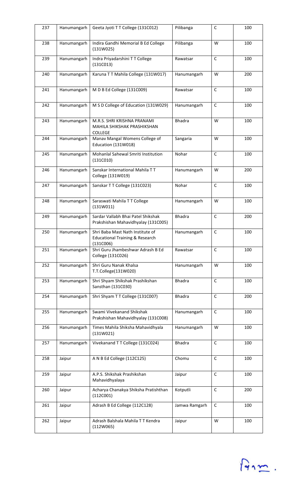| 237 | Hanumangarh | Geeta Jyoti TT College (131C012)                                                 | Pilibanga     | C            | 100 |
|-----|-------------|----------------------------------------------------------------------------------|---------------|--------------|-----|
| 238 | Hanumangarh | Indira Gandhi Memorial B Ed College<br>(131W025)                                 | Pilibanga     | W            | 100 |
| 239 | Hanumangarh | Indra Priyadarshini TT College<br>(131C013)                                      | Rawatsar      | $\mathsf C$  | 100 |
| 240 | Hanumangarh | Karuna TT Mahila College (131W017)                                               | Hanumangarh   | W            | 200 |
| 241 | Hanumangarh | M D B Ed College (131C009)                                                       | Rawatsar      | $\mathsf C$  | 100 |
| 242 | Hanumangarh | M S D College of Education (131W029)                                             | Hanumangarh   | $\mathsf{C}$ | 100 |
| 243 | Hanumangarh | M.R.S. SHRI KRISHNA PRANAMI<br>MAHILA SHIKSHAK PRASHIKSHAN<br><b>COLLEGE</b>     | <b>Bhadra</b> | W            | 100 |
| 244 | Hanumangarh | Manav Mangal Womens College of<br>Education (131W018)                            | Sangaria      | W            | 100 |
| 245 | Hanumangarh | Mohanlal Sahewal Smriti Institution<br>(131C010)                                 | Nohar         | $\mathsf C$  | 100 |
| 246 | Hanumangarh | Sanskar International Mahila TT<br>College (131W019)                             | Hanumangarh   | W            | 200 |
| 247 | Hanumangarh | Sanskar T T College (131C023)                                                    | Nohar         | $\mathsf{C}$ | 100 |
| 248 | Hanumangarh | Saraswati Mahila TT College<br>(131W011)                                         | Hanumangarh   | W            | 100 |
| 249 | Hanumangarh | Sardar Vallabh Bhai Patel Shikshak<br>Prakshishan Mahavidhyalay (131C005)        | <b>Bhadra</b> | $\mathsf{C}$ | 200 |
| 250 | Hanumangarh | Shri Baba Mast Nath Institute of<br>Educational Training & Research<br>(131C006) | Hanumangarh   | $\mathsf C$  | 100 |
| 251 | Hanumangarh | Shri Guru Jhambeshwar Adrash B Ed<br>College (131C026)                           | Rawatsar      | C            | 100 |
| 252 | Hanumangarh | Shri Guru Nanak Khalsa<br>T.T.College(131W020)                                   | Hanumangarh   | W            | 100 |
| 253 | Hanumangarh | Shri Shyam Shikshak Prashikshan<br>Sansthan (131C030)                            | <b>Bhadra</b> | $\mathsf C$  | 100 |
| 254 | Hanumangarh | Shri Shyam TT College (131C007)                                                  | <b>Bhadra</b> | $\mathsf C$  | 200 |
| 255 | Hanumangarh | Swami Vivekanand Shikshak<br>Prakshishan Mahavidhyalay (131C008)                 | Hanumangarh   | $\mathsf C$  | 100 |
| 256 | Hanumangarh | Times Mahila Shiksha Mahavidhyala<br>(131W021)                                   | Hanumangarh   | W            | 100 |
| 257 | Hanumangarh | Vivekanand TT College (131C024)                                                  | <b>Bhadra</b> | $\mathsf{C}$ | 100 |
| 258 | Jaipur      | A N B Ed College (112C125)                                                       | Chomu         | $\mathsf{C}$ | 100 |
| 259 | Jaipur      | A.P.S. Shikshak Prashikshan<br>Mahavidhyalaya                                    | Jaipur        | C            | 100 |
| 260 | Jaipur      | Acharya Chanakya Shiksha Pratishthan<br>(112C001)                                | Kotputli      | $\mathsf C$  | 200 |
| 261 | Jaipur      | Adrash B Ed College (112C128)                                                    | Jamwa Ramgarh | C            | 100 |
| 262 | Jaipur      | Adrash Balshala Mahila TT Kendra<br>(112W065)                                    | Jaipur        | W            | 100 |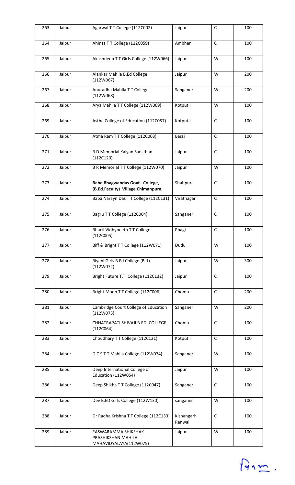| 263 | Jaipur | Agarwal T T College (112C002)                                        | Jaipur               | $\mathsf C$  | 100 |
|-----|--------|----------------------------------------------------------------------|----------------------|--------------|-----|
| 264 | Jaipur | Ahinsa TT College (112C059)                                          | Ambher               | $\mathsf{C}$ | 100 |
| 265 | Jaipur | Akashdeep T T Girls College (112W066)                                | Jaipur               | W            | 100 |
| 266 | Jaipur | Alankar Mahila B.Ed College<br>(112W067)                             | Jaipur               | W            | 200 |
| 267 | Jaipur | Anuradha Mahila TT College<br>(112W068)                              | Sanganer             | W            | 200 |
| 268 | Jaipur | Arya Mahila TT College (112W069)                                     | Kotputli             | W            | 100 |
| 269 | Jaipur | Astha College of Education (112C057)                                 | Kotputli             | $\mathsf{C}$ | 100 |
| 270 | Jaipur | Atma Ram TT College (112C003)                                        | Bassi                | $\mathsf{C}$ | 100 |
| 271 | Jaipur | <b>B D Memorial Kalyan Sansthan</b><br>(112C120)                     | Jaipur               | $\mathsf C$  | 100 |
| 272 | Jaipur | B R Memorial T T College (112W070)                                   | Jaipur               | W            | 100 |
| 273 | Jaipur | Baba Bhagwandas Govt. College,<br>(B.Ed.Faculty) Village Chimanpura, | Shahpura             | $\mathsf C$  | 100 |
| 274 | Jaipur | Baba Narayn Das TT College (112C131)                                 | Viratnagar           | $\mathsf C$  | 100 |
| 275 | Jaipur | Bagru TT College (112C004)                                           | Sanganer             | $\mathsf C$  | 100 |
| 276 | Jaipur | Bharti Vidhypeeth TT College<br>(112C005)                            | Phagi                | $\mathsf C$  | 100 |
| 277 | Jaipur | Biff & Bright TT College (112W071)                                   | Dudu                 | W            | 100 |
| 278 | Jaipur | Biyani Girls B Ed College (B-1)<br>(112W072)                         | Jaipur               | W            | 300 |
| 279 | Jaipur | Bright Future T.T. College (112C132)                                 | Jaipur               | $\mathsf C$  | 100 |
| 280 | Jaipur | Bright Moon TT College (112C006)                                     | Chomu                | $\mathsf C$  | 200 |
| 281 | Jaipur | Cambridge Court College of Education<br>(112W073)                    | Sanganer             | W            | 200 |
| 282 | Jaipur | CHHATRAPATI SHIVAJI B.ED. COLLEGE<br>(112C064)                       | Chomu                | $\mathsf C$  | 100 |
| 283 | Jaipur | Choudhary TT College (112C121)                                       | Kotputli             | $\mathsf C$  | 100 |
| 284 | Jaipur | D C S T T Mahila College (112W074)                                   | Sanganer             | W            | 100 |
| 285 | Jaipur | Deep International College of<br>Education (112W054)                 | Jaipur               | W            | 100 |
| 286 | Jaipur | Deep Shikha TT College (112C047)                                     | Sanganer             | $\mathsf C$  | 100 |
| 287 | Jaipur | Dev B.ED Girls College (112W130)                                     | sanganer             | W            | 100 |
| 288 | Jaipur | Dr Radha Krishna TT College (112C133)                                | Kishangarh<br>Renwal | $\mathsf{C}$ | 100 |
| 289 | Jaipur | EASWARAMMA SHIKSHAK<br>PRASHIKSHAN MAHILA<br>MAHAVIDYALAYA(112W075)  | Jaipur               | W            | 100 |

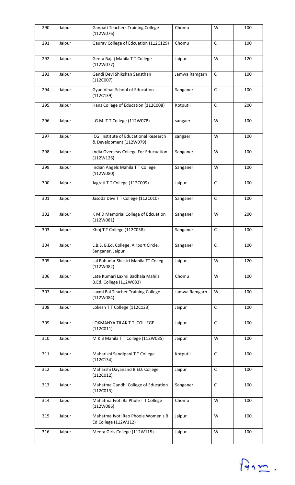| 290 | Jaipur | <b>Ganpati Teachers Training College</b><br>(112W076)            | Chomu         | W            | 100 |
|-----|--------|------------------------------------------------------------------|---------------|--------------|-----|
| 291 | Jaipur | Gaurav College of Edcuation (112C129)                            | Chomu         | $\mathsf{C}$ | 100 |
| 292 | Jaipur | Geeta Bajaj Mahila TT College<br>(112W077)                       | Jaipur        | W            | 120 |
| 293 | Jaipur | Gendi Devi Shikshan Sansthan<br>(112C007)                        | Jamwa Ramgarh | $\mathsf C$  | 100 |
| 294 | Jaipur | Gyan Vihar School of Education<br>(112C139)                      | Sanganer      | $\mathsf C$  | 100 |
| 295 | Jaipur | Hans College of Education (112C008)                              | Kotputli      | $\mathsf C$  | 200 |
| 296 | Jaipur | I.G.M. T T College (112W078)                                     | sangaer       | W            | 100 |
| 297 | Jaipur | ICG Institute of Educational Research<br>& Development (112W079) | sangaer       | W            | 100 |
| 298 | Jaipur | India Overseas College For Educuation<br>(112W126)               | Sanganer      | W            | 100 |
| 299 | Jaipur | Indian Angels Mahila T T College<br>(112W080)                    | Sanganer      | W            | 100 |
| 300 | Jaipur | Jagrati TT College (112C009)                                     | Jaipur        | $\mathsf C$  | 100 |
| 301 | Jaipur | Jasoda Devi TT College (112C010)                                 | Sanganer      | $\mathsf C$  | 100 |
| 302 | Jaipur | K M D Memorial College of Edcuation<br>(112W081)                 | Sanganer      | W            | 200 |
| 303 | Jaipur | Khoj TT College (112C058)                                        | Sanganer      | $\mathsf C$  | 100 |
| 304 | Jaipur | L.B.S. B.Ed. College, Airport Circle,<br>Sanganer, Jaipur        | Sanganer      | C            | 100 |
| 305 | Jaipur | Lal Bahudar Shastri Mahila TT Colleg<br>(112W082)                | Jaipur        | W            | 120 |
| 306 | Jaipur | Late Kumari Laxmi Badhala Mahila<br>B.Ed. College (112W083)      | Chomu         | W            | 100 |
| 307 | Jaipur | Laxmi Bai Teacher Training College<br>(112W084)                  | Jamwa Ramgarh | W            | 100 |
| 308 | Jaipur | Lokesh T T College (112C123)                                     | Jaipur        | $\mathsf{C}$ | 100 |
| 309 | Jaipur | LOKMANYA TILAK T.T. COLLEGE<br>(112C011)                         | Jaipur        | $\mathsf{C}$ | 100 |
| 310 | Jaipur | M K B Mahila TT College (112W085)                                | Jaipur        | W            | 100 |
| 311 | Jaipur | Maharishi Sandipani TT College<br>(112C134)                      | Kotputli      | $\mathsf{C}$ | 100 |
| 312 | Jaipur | Maharshi Dayanand B.ED. College<br>(112C012)                     | Jaipur        | $\mathsf C$  | 100 |
| 313 | Jaipur | Mahatma Gandhi College of Education<br>(112C013)                 | Sanganer      | $\mathsf C$  | 100 |
| 314 | Jaipur | Mahatma Jyoti Ba Phule TT College<br>(112W086)                   | Chomu         | W            | 100 |
| 315 | Jaipur | Mahatma Jyoti Rao Phoole Women's B<br>Ed College (112W112)       | Jaipur        | W            | 100 |
| 316 | Jaipur | Meera Girls College (112W115)                                    | Jaipur        | W            | 100 |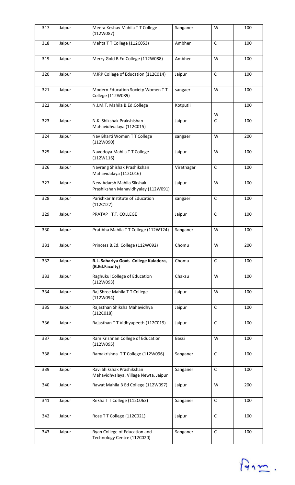| 317 | Jaipur | Meera Keshav Mahila T T College<br>(112W087)                       | Sanganer   | W                 | 100 |
|-----|--------|--------------------------------------------------------------------|------------|-------------------|-----|
| 318 | Jaipur | Mehta TT College (112C053)                                         | Ambher     | $\mathsf{C}$      | 100 |
| 319 | Jaipur | Merry Gold B Ed College (112W088)                                  | Ambher     | W                 | 100 |
| 320 | Jaipur | MJRP College of Education (112C014)                                | Jaipur     | $\mathsf{C}$      | 100 |
| 321 | Jaipur | Modern Education Society Women TT<br>College (112W089)             | sangaer    | W                 | 100 |
| 322 | Jaipur | N.I.M.T. Mahila B.Ed.College                                       | Kotputli   |                   | 100 |
| 323 | Jaipur | N.K. Shikshak Prakshishan<br>Mahavidhyalaya (112C015)              | Jaipur     | W<br>$\mathsf{C}$ | 100 |
| 324 | Jaipur | Nav Bharti Women TT College<br>(112W090)                           | sangaer    | W                 | 200 |
| 325 | Jaipur | Navodoya Mahila TT College<br>(112W116)                            | Jaipur     | W                 | 100 |
| 326 | Jaipur | Navrang Shishak Prashikshan<br>Mahavidalaya (112C016)              | Viratnagar | $\mathsf C$       | 100 |
| 327 | Jaipur | New Adarsh Mahila Sikshak<br>Prashikshan Mahavidhyalay (112W091)   | Jaipur     | W                 | 100 |
| 328 | Jaipur | Parishkar Institute of Education<br>(112C127)                      | sangaer    | $\mathsf C$       | 100 |
| 329 | Jaipur | PRATAP T.T. COLLEGE                                                | Jaipur     | $\mathsf C$       | 100 |
| 330 | Jaipur | Pratibha Mahila T T College (112W124)                              | Sanganer   | W                 | 100 |
| 331 | Jaipur | Princess B.Ed. College (112W092)                                   | Chomu      | W                 | 200 |
| 332 | Jaipur | R.L. Sahariya Govt. College Kaladera,<br>(B.Ed.Faculty)            | Chomu      | $\mathsf C$       | 100 |
| 333 | Jaipur | Raghukul College of Education<br>(112W093)                         | Chaksu     | W                 | 100 |
| 334 | Jaipur | Raj Shree Mahila TT College<br>(112W094)                           | Jaipur     | W                 | 100 |
| 335 | Jaipur | Rajasthan Shiksha Mahavidhya<br>(112C018)                          | Jaipur     | $\mathsf{C}$      | 100 |
| 336 | Jaipur | Rajasthan T T Vidhyapeeth (112C019)                                | Jaipur     | $\mathsf{C}$      | 100 |
| 337 | Jaipur | Ram Krishnan College of Education<br>(112W095)                     | Bassi      | W                 | 100 |
| 338 | Jaipur | Ramakrishna TT College (112W096)                                   | Sanganer   | $\mathsf C$       | 100 |
| 339 | Jaipur | Ravi Shikshak Prashikshan<br>Mahavidhyalaya, Village Newta, Jaipur | Sanganer   | $\mathsf C$       | 100 |
| 340 | Jaipur | Rawat Mahila B Ed College (112W097)                                | Jaipur     | W                 | 200 |
| 341 | Jaipur | Rekha TT College (112C063)                                         | Sanganer   | $\mathsf C$       | 100 |
| 342 | Jaipur | Rose T T College (112C021)                                         | Jaipur     | $\mathsf C$       | 100 |
| 343 | Jaipur | Ryan College of Education and<br>Technology Centre (112C020)       | Sanganer   | $\mathsf C$       | 100 |

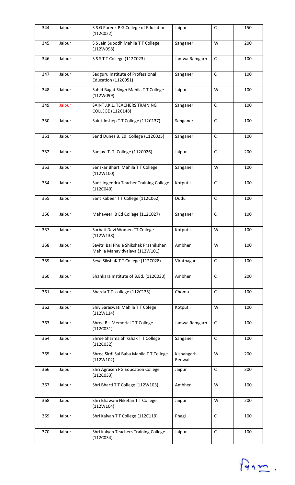| 344 | Jaipur | S S G Pareek P G College of Education<br>(112C022)                       | Jaipur               | C            | 150 |
|-----|--------|--------------------------------------------------------------------------|----------------------|--------------|-----|
| 345 | Jaipur | S S Jain Subodh Mahila T T College<br>(112W098)                          | Sanganer             | W            | 200 |
| 346 | Jaipur | S S S T T College (112C023)                                              | Jamwa Ramgarh        | $\mathsf C$  | 100 |
| 347 | Jaipur | Sadguru Institute of Professional<br>Education (112C051)                 | Sanganer             | $\mathsf{C}$ | 100 |
| 348 | Jaipur | Sahid Bagat Singh Mahila TT College<br>(112W099)                         | Jaipur               | W            | 100 |
| 349 | Jaipur | SAINT J.K.L. TEACHERS TRAINING<br><b>COLLEGE (112C148)</b>               | Sanganer             | $\mathsf C$  | 100 |
| 350 | Jaipur | Saint Joshep TT College (112C137)                                        | Sanganer             | $\mathsf{C}$ | 100 |
| 351 | Jaipur | Sand Dunes B. Ed. College (112C025)                                      | Sanganer             | $\mathsf C$  | 100 |
| 352 | Jaipur | Sanjay T. T. College (112C026)                                           | Jaipur               | $\mathsf C$  | 200 |
| 353 | Jaipur | Sanskar Bharti Mahila TT College<br>(112W100)                            | Sanganer             | W            | 100 |
| 354 | Jaipur | Sant Jogendra Teacher Training College<br>(112C049)                      | Kotputli             | $\mathsf C$  | 100 |
| 355 | Jaipur | Sant Kabeer T T College (112C062)                                        | Dudu                 | $\mathsf C$  | 100 |
| 356 | Jaipur | Mahaveer B Ed College (112C027)                                          | Sanganer             | $\mathsf C$  | 100 |
| 357 | Jaipur | Sarbati Devi Women TT College<br>(112W138)                               | Kotputli             | W            | 100 |
| 358 | Jaipur | Savitri Bai Phule Shikshak Prashikshan<br>Mahila Mahavidyalaya (112W101) | Ambher               | W            | 100 |
| 359 | Jaipur | Seva SikshaK T T College (112C028)                                       | Viratnagar           | $\mathsf C$  | 100 |
| 360 | Jaipur | Shankara Institute of B.Ed. (112C030)                                    | Ambher               | $\mathsf C$  | 200 |
| 361 | Jaipur | Sharda T.T. college (112C135)                                            | Chomu                | $\mathsf{C}$ | 100 |
| 362 | Jaipur | Shiv Saraswati Mahila TT Colege<br>(112W114)                             | Kotputli             | W            | 100 |
| 363 | Jaipur | Shree B L Memorial T T College<br>(112C031)                              | Jamwa Ramgarh        | $\mathsf{C}$ | 100 |
| 364 | Jaipur | Shree Sharma Shikshak TT College<br>(112C032)                            | Sanganer             | $\mathsf C$  | 100 |
| 365 | Jaipur | Shree Sirdi Sai Baba Mahila TT College<br>(112W102)                      | Kishangarh<br>Renwal | W            | 200 |
| 366 | Jaipur | Shri Agrasen PG Education College<br>(112C033)                           | Jaipur               | $\mathsf{C}$ | 300 |
| 367 | Jaipur | Shri Bharti TT College (112W103)                                         | Ambher               | W            | 100 |
| 368 | Jaipur | Shri Bhawani Niketan TT College<br>(112W104)                             | Jaipur               | W            | 200 |
| 369 | Jaipur | Shri Kalyan TT College (112C119)                                         | Phagi                | $\mathsf{C}$ | 100 |
| 370 | Jaipur | Shri Kalyan Teachers Training College<br>(112C034)                       | Jaipur               | $\mathsf C$  | 100 |

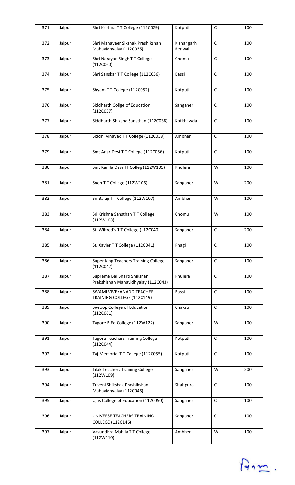| 371 | Jaipur | Shri Krishna TT College (112C029)                                  | Kotputli             | $\mathsf C$  | 100 |
|-----|--------|--------------------------------------------------------------------|----------------------|--------------|-----|
| 372 | Jaipur | Shri Mahaveer Sikshak Prashikshan<br>Mahavidhyalay (112C035)       | Kishangarh<br>Renwal | $\mathsf C$  | 100 |
| 373 | Jaipur | Shri Narayan Singh TT College<br>(112C060)                         | Chomu                | $\mathsf C$  | 100 |
| 374 | Jaipur | Shri Sanskar TT College (112C036)                                  | Bassi                | $\mathsf{C}$ | 100 |
| 375 | Jaipur | Shyam TT College (112C052)                                         | Kotputli             | $\mathsf C$  | 100 |
| 376 | Jaipur | Siddharth Collge of Education<br>(112C037)                         | Sanganer             | $\mathsf C$  | 100 |
| 377 | Jaipur | Siddharth Shiksha Sansthan (112C038)                               | Kotkhawda            | $\mathsf C$  | 100 |
| 378 | Jaipur | Siddhi Vinayak TT College (112C039)                                | Ambher               | $\mathsf{C}$ | 100 |
| 379 | Jaipur | Smt Anar Devi T T College (112C056)                                | Kotputli             | $\mathsf C$  | 100 |
| 380 | Jaipur | Smt Kamla Devi TT Colleg (112W105)                                 | Phulera              | W            | 100 |
| 381 | Jaipur | Sneh TT College (112W106)                                          | Sanganer             | W            | 200 |
| 382 | Jaipur | Sri Balaji T T College (112W107)                                   | Ambher               | W            | 100 |
| 383 | Jaipur | Sri Krishna Sansthan T T College<br>(112W108)                      | Chomu                | W            | 100 |
| 384 | Jaipur | St. Wilfred's TT College (112C040)                                 | Sanganer             | $\mathsf C$  | 200 |
| 385 | Jaipur | St. Xavier T T College (112C041)                                   | Phagi                | $\mathsf{C}$ | 100 |
| 386 | Jaipur | <b>Super King Teachers Training College</b><br>(112C042)           | Sanganer             | $\mathsf C$  | 100 |
| 387 | Jaipur | Supreme Bal Bharti Shikshan<br>Prakshishan Mahavidhyalay (112C043) | Phulera              | $\mathsf C$  | 100 |
| 388 | Jaipur | SWAMI VIVEKANAND TEACHER<br>TRAINING COLLEGE (112C149)             | Bassi                | $\mathsf C$  | 100 |
| 389 | Jaipur | Swroop College of Education<br>(112C061)                           | Chaksu               | $\mathsf C$  | 100 |
| 390 | Jaipur | Tagore B Ed College (112W122)                                      | Sanganer             | W            | 100 |
| 391 | Jaipur | <b>Tagore Teachers Training College</b><br>(112C044)               | Kotputli             | $\mathsf C$  | 100 |
| 392 | Jaipur | Taj Memorial TT College (112C055)                                  | Kotputli             | $\mathsf C$  | 100 |
| 393 | Jaipur | <b>Tilak Teachers Training College</b><br>(112W109)                | Sanganer             | W            | 200 |
| 394 | Jaipur | Triveni Shikshak Prashikshan<br>Mahavidhyalay (112C045)            | Shahpura             | $\mathsf C$  | 100 |
| 395 | Jaipur | Ujas College of Education (112C050)                                | Sanganer             | $\mathsf{C}$ | 100 |
| 396 | Jaipur | UNIVERSE TEACHERS TRAINING<br>COLLEGE (112C146)                    | Sanganer             | $\mathsf C$  | 100 |
| 397 | Jaipur | Vasundhra Mahila TT College<br>(112W110)                           | Ambher               | W            | 100 |

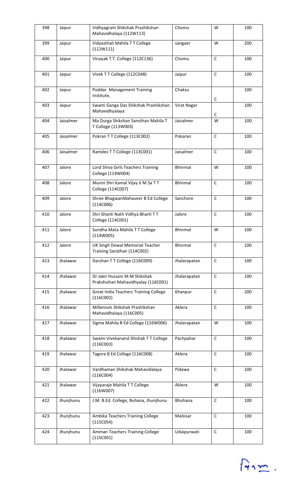| 398 | Jaipur    | Vidhyagram Shikshak Prashikshan<br>Mahavidhalaya (112W113)           | Chomu          | W            | 100 |
|-----|-----------|----------------------------------------------------------------------|----------------|--------------|-----|
| 399 | Jaipur    | Vidyasthali Mahila TT College<br>(112W111)                           | sangaer        | W            | 200 |
| 400 | Jaipur    | Vinayak T.T. College (112C136)                                       | Chomu          | $\mathsf C$  | 100 |
| 401 | Jaipur    | Vivek TT College (112C048)                                           | Jaipur         | $\mathsf{C}$ | 100 |
| 402 | Jaipur    | Poddar Management Training<br>Institute,                             | Chaksu         | C            | 100 |
| 403 | Jaipur    | Swami Ganga Das Shikshak Prashikshan<br>Mahavidhyalaya               | Virat Nagar    |              | 100 |
| 404 | Jaisalmer | Ma Durga Shikshan Sansthan Mahila T<br>T College (113W003)           | Jaisalmer      | C<br>W       | 100 |
| 405 | Jaisalmer | Pokran TT College (113C002)                                          | Pokaran        | $\mathsf{C}$ | 100 |
| 406 | Jaisalmer | Ramdev T T College (113C001)                                         | Jaisalmer      | $\mathsf C$  | 100 |
| 407 | Jalore    | Lord Shiva Girls Teachers Training<br>College (114W004)              | <b>Bhinmal</b> | W            | 100 |
| 408 | Jalore    | Munni Shri Kamal Vijay Ji M Sa TT<br>College (114C007)               | <b>Bhinmal</b> | $\mathsf{C}$ | 100 |
| 409 | Jalore    | Shree BhagwanMahaveer B Ed College<br>(114C006)                      | Sanchore       | $\mathsf C$  | 100 |
| 410 | Jalore    | Shri Shanti Nath Vidhya Bharti TT<br>College (114C001)               | Jalore         | $\mathsf{C}$ | 100 |
| 411 | Jalore    | Sundha Mata Mahila TT College<br>(114W005)                           | <b>Bhinmal</b> | W            | 100 |
| 412 | Jalore    | UK Singh Dewal Memorial Teacher<br>Training Sansthan (114C002)       | <b>Bhinmal</b> | $\mathsf{C}$ | 100 |
| 413 | Jhalawar  | Darshan T T College (116C009)                                        | Jhalarapatan   | $\mathsf C$  | 100 |
| 414 | Jhalawar  | Dr Jakir Hussain M M Shikshak<br>Prakshishan Mahavidhyalay (116C001) | Jhalarapatan   | $\mathsf C$  | 100 |
| 415 | Jhalawar  | <b>Great India Teachers Training College</b><br>(116C002)            | Khanpur        | $\mathsf C$  | 200 |
| 416 | Jhalawar  | Millenium Shikshak Prashikshan<br>Mahavidhalaya (116C005)            | Aklera         | C            | 100 |
| 417 | Jhalawar  | Sigma Mahila B Ed College (116W006)                                  | Jhalarapatan   | W            | 100 |
| 418 | Jhalawar  | Swami Vivekanand Shishak TT College<br>(116C003)                     | Pachpahar      | $\mathsf C$  | 100 |
| 419 | Jhalawar  | Tagore B Ed College (116C008)                                        | Aklera         | $\mathsf C$  | 100 |
| 420 | Jhalawar  | Vardhaman Shikshak Mahavidalaya<br>(116C004)                         | Pidawa         | $\mathsf{C}$ | 100 |
| 421 | Jhalawar  | Vijayaraje Mahila TT College<br>(116W007)                            | Aklera         | W            | 100 |
| 422 | Jhunjhunu | J.M. B.Ed. College, Buhana, Jhunjhunu                                | <b>Bhuhana</b> | $\mathsf C$  | 100 |
| 423 | Jhunjhunu | Ambika Teachers Training College<br>(115C054)                        | Malsisar       | $\mathsf{C}$ | 100 |
| 424 | Jhunjhunu | Amman Teachers Training College<br>(115C001)                         | Udaipurwati    | $\mathsf C$  | 100 |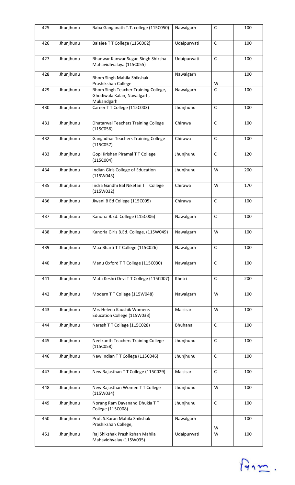| 425 | Jhunjhunu | Baba Ganganath T.T. college (115C050)                                             | Nawalgarh      | C            | 100 |
|-----|-----------|-----------------------------------------------------------------------------------|----------------|--------------|-----|
| 426 | Jhunjhunu | Balajee TT College (115C002)                                                      | Udaipurwati    | $\mathsf{C}$ | 100 |
| 427 | Jhunjhunu | Bhanwar Kanwar Sugan Singh Shiksha<br>Mahavidhyalaya (115C055)                    | Udaipurwati    | $\mathsf C$  | 100 |
| 428 | Jhunjhunu | Bhom Singh Mahila Shikshak<br>Prashikshan College                                 | Nawalgarh      | W            | 100 |
| 429 | Jhunjhunu | Bhom Singh Teacher Training College,<br>Ghodiwala Kalan, Nawalgarh,<br>Mukandgarh | Nawalgarh      | C            | 100 |
| 430 | Jhunjhunu | Career T T College (115C003)                                                      | Jhunjhunu      | $\mathsf C$  | 100 |
| 431 | Jhunjhunu | <b>Dhatarwal Teachers Training College</b><br>(115C056)                           | Chirawa        | $\mathsf C$  | 100 |
| 432 | Jhunjhunu | Gangadhar Teachers Training College<br>(115C057)                                  | Chirawa        | $\mathsf C$  | 100 |
| 433 | Jhunjhunu | Gopi Krishan Piramal TT College<br>(115C004)                                      | Jhunjhunu      | $\mathsf C$  | 120 |
| 434 | Jhunjhunu | Indian Girls College of Education<br>(115W043)                                    | Jhunjhunu      | W            | 200 |
| 435 | Jhunjhunu | Indra Gandhi Bal Niketan TT College<br>(115W032)                                  | Chirawa        | W            | 170 |
| 436 | Jhunjhunu | Jiwani B Ed College (115C005)                                                     | Chirawa        | $\mathsf{C}$ | 100 |
| 437 | Jhunjhunu | Kanoria B.Ed. College (115C006)                                                   | Nawalgarh      | $\mathsf{C}$ | 100 |
| 438 | Jhunjhunu | Kanoria Girls B.Ed. College, (115W049)                                            | Nawalgarh      | W            | 100 |
| 439 | Jhunjhunu | Maa Bharti TT College (115C026)                                                   | Nawalgarh      | $\mathsf C$  | 100 |
| 440 | Jhunjhunu | Manu Oxford TT College (115C030)                                                  | Nawalgarh      | C            | 100 |
| 441 | Jhunjhunu | Mata Keshri Devi TT College (115C007)                                             | Khetri         | C            | 200 |
| 442 | Jhunjhunu | Modern TT College (115W048)                                                       | Nawalgarh      | W            | 100 |
| 443 | Jhunjhunu | Mrs Helena Kaushik Womens<br>Education College (115W033)                          | Malsisar       | W            | 100 |
| 444 | Jhunjhunu | Naresh T T College (115C028)                                                      | <b>Bhuhana</b> | C            | 100 |
| 445 | Jhunjhunu | Neelkanth Teachers Training College<br>(115C058)                                  | Jhunjhunu      | $\mathsf C$  | 100 |
| 446 | Jhunjhunu | New Indian TT College (115C046)                                                   | Jhunjhunu      | C            | 100 |
| 447 | Jhunjhunu | New Rajasthan TT College (115C029)                                                | Malsisar       | $\mathsf C$  | 100 |
| 448 | Jhunjhunu | New Rajasthan Women TT College<br>(115W034)                                       | Jhunjhunu      | W            | 100 |
| 449 | Jhunjhunu | Norang Ram Dayanand Dhukia TT<br>College (115C008)                                | Jhunjhunu      | $\mathsf{C}$ | 100 |
| 450 | Jhunjhunu | Prof. S.Karan Mahila Shikshak<br>Prashikshan College,                             | Nawalgarh      | W            | 100 |
| 451 | Jhunjhunu | Raj Shikshak Prashikshan Mahila<br>Mahavidhyalay (115W035)                        | Udaipurwati    | W            | 100 |

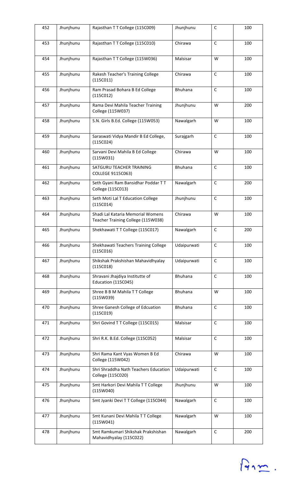| 452 | Jhunjhunu | Rajasthan T T College (115C009)                                         | Jhunjhunu      | $\mathsf C$  | 100 |
|-----|-----------|-------------------------------------------------------------------------|----------------|--------------|-----|
| 453 | Jhunjhunu | Rajasthan TT College (115C010)                                          | Chirawa        | $\mathsf{C}$ | 100 |
| 454 | Jhunjhunu | Rajasthan TT College (115W036)                                          | Malsisar       | W            | 100 |
| 455 | Jhunjhunu | Rakesh Teacher's Training College<br>(115C011)                          | Chirawa        | $\mathsf{C}$ | 100 |
| 456 | Jhunjhunu | Ram Prasad Bohara B Ed College<br>(115C012)                             | <b>Bhuhana</b> | $\mathsf{C}$ | 100 |
| 457 | Jhunjhunu | Rama Devi Mahila Teacher Training<br>College (115W037)                  | Jhunjhunu      | W            | 200 |
| 458 | Jhunjhunu | S.N. Girls B.Ed. College (115W053)                                      | Nawalgarh      | W            | 100 |
| 459 | Jhunjhunu | Saraswati Vidya Mandir B Ed College,<br>(115C024)                       | Surajgarh      | $\mathsf{C}$ | 100 |
| 460 | Jhunjhunu | Sarvani Devi Mahila B Ed College<br>(115W031)                           | Chirawa        | W            | 100 |
| 461 | Jhunjhunu | SATGURU TEACHER TRAINING<br>COLLEGE 9115C063)                           | Bhuhana        | $\mathsf{C}$ | 100 |
| 462 | Jhunjhunu | Seth Gyani Ram Bansidhar Poddar TT<br>College (115C013)                 | Nawalgarh      | $\mathsf C$  | 200 |
| 463 | Jhunjhunu | Seth Moti Lal T Education College<br>(115C014)                          | Jhunjhunu      | $\mathsf{C}$ | 100 |
| 464 | Jhunjhunu | Shadi Lal Kataria Memorial Womens<br>Teacher Training College (115W038) | Chirawa        | W            | 100 |
| 465 | Jhunjhunu | Shekhawati TT College (115C017)                                         | Nawalgarh      | $\mathsf C$  | 200 |
| 466 | Jhunjhunu | Shekhawati Teachers Training College<br>(115C016)                       | Udaipurwati    | $\mathsf{C}$ | 100 |
| 467 | Jhunjhunu | Shikshak Prakshishan Mahavidhyalay<br>(115C018)                         | Udaipurwati    | $\mathsf C$  | 100 |
| 468 | Jhunjhunu | Shravani Jhajdiya Institutte of<br>Education (115C045)                  | <b>Bhuhana</b> | $\mathsf C$  | 100 |
| 469 | Jhunjhunu | Shree B B M Mahila TT College<br>(115W039)                              | <b>Bhuhana</b> | W            | 100 |
| 470 | Jhunjhunu | Shree Ganesh College of Edcuation<br>(115C019)                          | Bhuhana        | C            | 100 |
| 471 | Jhunjhunu | Shri Govind TT College (115C015)                                        | Malsisar       | $\mathsf C$  | 100 |
| 472 | Jhunjhunu | Shri R.K. B.Ed. College (115C052)                                       | Malsisar       | $\mathsf C$  | 100 |
| 473 | Jhunjhunu | Shri Rama Kant Vyas Women B Ed<br>College (115W042)                     | Chirawa        | W            | 100 |
| 474 | Jhunjhunu | Shri Shraddha Nath Teachers Education<br>College (115C020)              | Udaipurwati    | $\mathsf{C}$ | 100 |
| 475 | Jhunjhunu | Smt Harkori Devi Mahila TT College<br>(115W040)                         | Jhunjhunu      | W            | 100 |
| 476 | Jhunjhunu | Smt Jyanki Devi TT College (115C044)                                    | Nawalgarh      | $\mathsf{C}$ | 100 |
| 477 | Jhunjhunu | Smt Kunani Devi Mahila TT College<br>(115W041)                          | Nawalgarh      | W            | 100 |
| 478 | Jhunjhunu | Smt Ramkumari Shikshak Prakshishan<br>Mahavidhyalay (115C022)           | Nawalgarh      | $\mathsf C$  | 200 |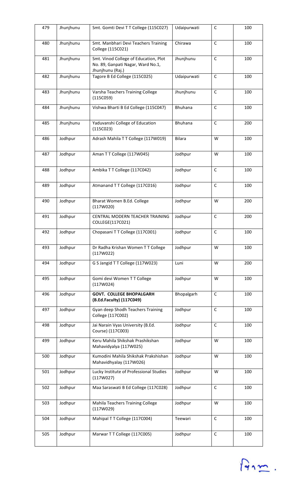| 479 | Jhunjhunu | Smt. Gomti Devi TT College (115C027)                                                           | Udaipurwati | $\mathsf C$  | 100 |
|-----|-----------|------------------------------------------------------------------------------------------------|-------------|--------------|-----|
| 480 | Jhunjhunu | Smt. Manbhari Devi Teachers Training<br>College (115C021)                                      | Chirawa     | $\mathsf{C}$ | 100 |
| 481 | Jhunjhunu | Smt. Vinod College of Education, Plot<br>No. 89, Ganpati Nagar, Ward No.1,<br>Jhunjhunu (Raj.) | Jhunjhunu   | $\mathsf C$  | 100 |
| 482 | Jhunjhunu | Tagore B Ed College (115C025)                                                                  | Udaipurwati | $\mathsf C$  | 100 |
| 483 | Jhunjhunu | Varsha Teachers Training College<br>(115C059)                                                  | Jhunjhunu   | $\mathsf{C}$ | 100 |
| 484 | Jhunjhunu | Vishwa Bharti B Ed College (115C047)                                                           | Bhuhana     | $\mathsf{C}$ | 100 |
| 485 | Jhunjhunu | Yaduvanshi College of Education<br>(115C023)                                                   | Bhuhana     | $\mathsf C$  | 200 |
| 486 | Jodhpur   | Adrash Mahila TT College (117W019)                                                             | Bilara      | W            | 100 |
| 487 | Jodhpur   | Aman TT College (117W045)                                                                      | Jodhpur     | W            | 100 |
| 488 | Jodhpur   | Ambika TT College (117C042)                                                                    | Jodhpur     | $\mathsf C$  | 100 |
| 489 | Jodhpur   | Atmanand TT College (117C016)                                                                  | Jodhpur     | $\mathsf C$  | 100 |
| 490 | Jodhpur   | Bharat Women B.Ed. College<br>(117W020)                                                        | Jodhpur     | W            | 200 |
| 491 | Jodhpur   | CENTRAL MODERN TEACHER TRAINING<br>COLLEGE(117C021)                                            | Jodhpur     | $\mathsf{C}$ | 200 |
| 492 | Jodhpur   | Chopasani TT College (117C001)                                                                 | Jodhpur     | $\mathsf C$  | 100 |
| 493 | Jodhpur   | Dr Radha Krishan Women TT College<br>(117W022)                                                 | Jodhpur     | W            | 100 |
| 494 | Jodhpur   | G S Jangid T T College (117W023)                                                               | Luni        | W            | 200 |
| 495 | Jodhpur   | Gomi devi Women T T College<br>(117W024)                                                       | Jodhpur     | W            | 100 |
| 496 | Jodhpur   | <b>GOVT. COLLEGE BHOPALGARH</b><br>(B.Ed.Faculty) (117C049)                                    | Bhopalgarh  | $\mathsf{C}$ | 100 |
| 497 | Jodhpur   | Gyan deep Shodh Teachers Training<br>College (117C002)                                         | Jodhpur     | $\mathsf C$  | 100 |
| 498 | Jodhpur   | Jai Narain Vyas University (B.Ed.<br>Course) (117C003)                                         | Jodhpur     | $\mathsf{C}$ | 100 |
| 499 | Jodhpur   | Keru Mahila Shikshak Prashikshan<br>Mahavidyalya (117W025)                                     | Jodhpur     | W            | 100 |
| 500 | Jodhpur   | Kumodini Mahila Shikshak Prakshishan<br>Mahavidhyalay (117W026)                                | Jodhpur     | W            | 100 |
| 501 | Jodhpur   | Lucky Institute of Professional Studies<br>(117W027)                                           | Jodhpur     | W            | 100 |
| 502 | Jodhpur   | Maa Saraswati B Ed College (117C028)                                                           | Jodhpur     | $\mathsf{C}$ | 100 |
| 503 | Jodhpur   | Mahila Teachers Training College<br>(117W029)                                                  | Jodhpur     | W            | 100 |
| 504 | Jodhpur   | Mahipal TT College (117C004)                                                                   | Teewari     | $\mathsf{C}$ | 100 |
| 505 | Jodhpur   | Marwar T T College (117C005)                                                                   | Jodhpur     | $\mathsf C$  | 100 |

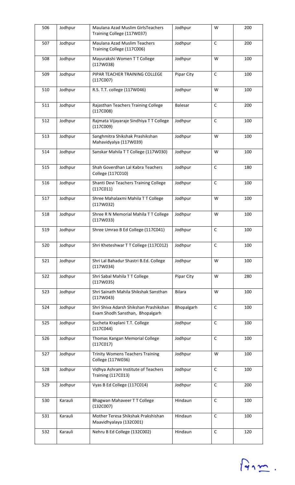| 506 | Jodhpur | Maulana Azad Muslim GirlsTeachers<br>Training College (117W037)           | Jodhpur        | W            | 200 |
|-----|---------|---------------------------------------------------------------------------|----------------|--------------|-----|
| 507 | Jodhpur | Maulana Azad Muslim Teachers<br>Training College (117C006)                | Jodhpur        | $\mathsf{C}$ | 200 |
| 508 | Jodhpur | Mayurakshi Women TT College<br>(117W038)                                  | Jodhpur        | W            | 100 |
| 509 | Jodhpur | PIPAR TEACHER TRAINING COLLEGE<br>(117C007)                               | Pipar City     | $\mathsf{C}$ | 100 |
| 510 | Jodhpur | R.S. T.T. college (117W046)                                               | Jodhpur        | W            | 100 |
| 511 | Jodhpur | Rajasthan Teachers Training College<br>(117C008)                          | <b>Balesar</b> | $\mathsf{C}$ | 200 |
| 512 | Jodhpur | Rajmata Vijayaraje Sindhiya TT College<br>(117C009)                       | Jodhpur        | $\mathsf{C}$ | 100 |
| 513 | Jodhpur | Sanghmitra Shikshak Prashikshan<br>Mahavidyalya (117W039)                 | Jodhpur        | W            | 100 |
| 514 | Jodhpur | Sanskar Mahila TT College (117W030)                                       | Jodhpur        | W            | 100 |
| 515 | Jodhpur | Shah Goverdhan Lal Kabra Teachers<br>College (117C010)                    | Jodhpur        | $\mathsf C$  | 180 |
| 516 | Jodhpur | Shanti Devi Teachers Training College<br>(117C011)                        | Jodhpur        | C            | 100 |
| 517 | Jodhpur | Shree Mahalaxmi Mahila TT College<br>(117W032)                            | Jodhpur        | W            | 100 |
| 518 | Jodhpur | Shree R N Memorial Mahila T T College<br>(117W033)                        | Jodhpur        | W            | 100 |
| 519 | Jodhpur | Shree Umrao B Ed College (117C041)                                        | Jodhpur        | $\mathsf C$  | 100 |
| 520 | Jodhpur | Shri Kheteshwar TT College (117C012)                                      | Jodhpur        | C            | 100 |
| 521 | Jodhpur | Shri Lal Bahadur Shastri B.Ed. College<br>(117W034)                       | Jodhpur        | W            | 100 |
| 522 | Jodhpur | Shri Sabal Mahila TT College<br>(117W035)                                 | Pipar City     | W            | 280 |
| 523 | Jodhpur | Shri Sainath Mahila Shikshak Sansthan<br>(117W043)                        | <b>Bilara</b>  | W            | 100 |
| 524 | Jodhpur | Shri Shiva Adarsh Shikshan Prashikshan<br>Evam Shodh Sansthan, Bhopalgarh | Bhopalgarh     | $\mathsf C$  | 100 |
| 525 | Jodhpur | Sucheta Kraplani T.T. College<br>(117C044)                                | Jodhpur        | $\mathsf{C}$ | 100 |
| 526 | Jodhpur | Thomas Kangan Memorial College<br>(117C017)                               | Jodhpur        | $\mathsf C$  | 100 |
| 527 | Jodhpur | <b>Trinity Womens Teachers Training</b><br>College (117W036)              | Jodhpur        | W            | 100 |
| 528 | Jodhpur | Vidhya Ashram Institute of Teachers<br><b>Training (117C013)</b>          | Jodhpur        | $\mathsf{C}$ | 100 |
| 529 | Jodhpur | Vyas B Ed College (117C014)                                               | Jodhpur        | $\mathsf C$  | 200 |
| 530 | Karauli | Bhagwan Mahaveer T T College<br>(132C007)                                 | Hindaun        | $\mathsf{C}$ | 100 |
| 531 | Karauli | Mother Teresa Shikshak Prakshishan<br>Maavidhyalaya (132C001)             | Hindaun        | $\mathsf{C}$ | 100 |
| 532 | Karauli | Nehru B Ed College (132C002)                                              | Hindaun        | $\mathsf C$  | 120 |

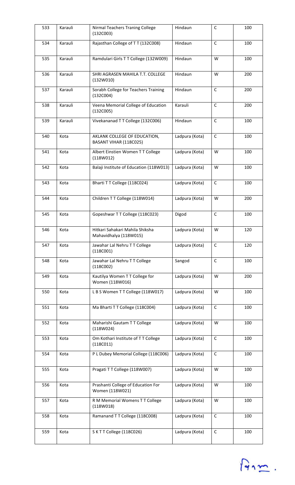| 533 | Karauli | Nirmal Teachers Traning College<br>(132C003)              | Hindaun        | $\mathsf C$  | 100 |
|-----|---------|-----------------------------------------------------------|----------------|--------------|-----|
| 534 | Karauli | Rajasthan College of TT (132C008)                         | Hindaun        | $\mathsf{C}$ | 100 |
| 535 | Karauli | Ramdulari Girls T T College (132W009)                     | Hindaun        | W            | 100 |
| 536 | Karauli | SHRI AGRASEN MAHILA T.T. COLLEGE<br>(132W010)             | Hindaun        | W            | 200 |
| 537 | Karauli | Sorabh College for Teachers Training<br>(132C004)         | Hindaun        | $\mathsf C$  | 200 |
| 538 | Karauli | Veena Memorial College of Education<br>(132C005)          | Karauli        | $\mathsf C$  | 200 |
| 539 | Karauli | Vivekananad TT College (132C006)                          | Hindaun        | $\mathsf{C}$ | 100 |
| 540 | Kota    | AKLANK COLLEGE OF EDUCATION,<br>BASANT VIHAR (118C025)    | Ladpura (Kota) | $\mathsf C$  | 100 |
| 541 | Kota    | Albert Einstien Women TT College<br>(118W012)             | Ladpura (Kota) | W            | 100 |
| 542 | Kota    | Balaji Institute of Education (118W013)                   | Ladpura (Kota) | W            | 100 |
| 543 | Kota    | Bharti TT College (118C024)                               | Ladpura (Kota) | $\mathsf C$  | 100 |
| 544 | Kota    | Children T T College (118W014)                            | Ladpura (Kota) | W            | 200 |
| 545 | Kota    | Gopeshwar T T College (118C023)                           | Digod          | $\mathsf C$  | 100 |
| 546 | Kota    | Hitkari Sahakari Mahila Shiksha<br>Mahavidhalya (118W015) | Ladpura (Kota) | W            | 120 |
| 547 | Kota    | Jawahar Lal Nehru TT College<br>(118C001)                 | Ladpura (Kota) | C            | 120 |
| 548 | Kota    | Jawahar Lal Nehru TT College<br>(118C002)                 | Sangod         | $\mathsf C$  | 100 |
| 549 | Kota    | Kautilya Women TT College for<br>Women (118W016)          | Ladpura (Kota) | W            | 200 |
| 550 | Kota    | LBS Women TT College (118W017)                            | Ladpura (Kota) | W            | 100 |
| 551 | Kota    | Ma Bharti T T College (118C004)                           | Ladpura (Kota) | $\mathsf C$  | 100 |
| 552 | Kota    | Maharishi Gautam TT College<br>(118W024)                  | Ladpura (Kota) | W            | 100 |
| 553 | Kota    | Om Kothari Institute of TT College<br>(118C011)           | Ladpura (Kota) | $\mathsf C$  | 100 |
| 554 | Kota    | P L Dubey Memorial College (118C006)                      | Ladpura (Kota) | $\mathsf C$  | 100 |
| 555 | Kota    | Pragati T T College (118W007)                             | Ladpura (Kota) | W            | 100 |
| 556 | Kota    | Prashanti College of Education For<br>Women (118W021)     | Ladpura (Kota) | W            | 100 |
| 557 | Kota    | R M Memorial Womens T T College<br>(118W018)              | Ladpura (Kota) | W            | 100 |
| 558 | Kota    | Ramanand T T College (118C008)                            | Ladpura (Kota) | $\mathsf C$  | 100 |
| 559 | Kota    | SKTT College (118C026)                                    | Ladpura (Kota) | $\mathsf C$  | 100 |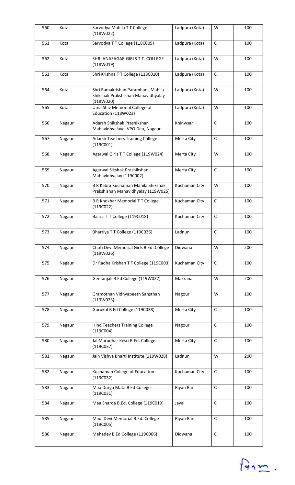| 560 | Kota   | Sarvodya Mahila TT College<br>(118W022)                                              | Ladpura (Kota) | W            | 100 |
|-----|--------|--------------------------------------------------------------------------------------|----------------|--------------|-----|
| 561 | Kota   | Sarvodya TT College (118C009)                                                        | Ladpura (Kota) | $\mathsf{C}$ | 100 |
| 562 | Kota   | SHRI ANASAGAR GIRLS T.T. COLLEGE<br>(118W019)                                        | Ladpura (Kota) | W            | 100 |
| 563 | Kota   | Shri Krishna TT College (118C010)                                                    | Ladpura (Kota) | $\mathsf{C}$ | 100 |
| 564 | Kota   | Shri Ramakrishan Paramhans Mahila<br>Shikshak Prakshishan Mahavidhyalay<br>(118W020) | Ladpura (Kota) | W            | 100 |
| 565 | Kota   | Uma Shiv Memorial College of<br>Education (118W023)                                  | Ladpura (Kota) | W            | 100 |
| 566 | Nagaur | Adarsh Shikshak Prashikshan<br>Mahavidhyalaya, VPO Deu, Nagaur                       | Khinwsar       | $\mathsf{C}$ | 100 |
| 567 | Nagaur | <b>Adarsh Teachers Training College</b><br>(119C001)                                 | Merta City     | $\mathsf C$  | 100 |
| 568 | Nagaur | Agarwal Girls TT College (119W024)                                                   | Merta City     | W            | 100 |
| 569 | Nagaur | Agarwal Sikshak Prashikshan<br>Mahavidhyalay (119C002)                               | Merta City     | $\mathsf{C}$ | 100 |
| 570 | Nagaur | B R Kabra Kuchaman Mahila Shikshak<br>Prakshishan Mahavidhyalay (119W025)            | Kuchaman City  | W            | 100 |
| 571 | Nagaur | <b>B R Khokhar Memorial T T College</b><br>(119C022)                                 | Kuchaman City  | $\mathsf C$  | 100 |
| 572 | Nagaur | Bala Ji T T College (119C018)                                                        | Kuchaman City  | $\mathsf{C}$ | 100 |
| 573 | Nagaur | Bhartiya TT College (119C036)                                                        | Ladnun         | $\mathsf C$  | 100 |
| 574 | Nagaur | Choti Devi Memorial Girls B.Ed. College<br>(119W026)                                 | Didwana        | W            | 200 |
| 575 | Nagaur | Dr Radha Krishan T T College (119C003)                                               | Kuchaman City  | $\mathsf{C}$ | 100 |
| 576 | Nagaur | Geetanjali B Ed College (119W027)                                                    | Makrana        | W            | 200 |
| 577 | Nagaur | Gramothan Vidhyapeeth Sansthan<br>(119W023)                                          | Nagour         | W            | 100 |
| 578 | Nagaur | Gurukul B Ed College (119C038)                                                       | Merta City     | $\mathsf C$  | 100 |
| 579 | Nagaur | <b>Hind Teachers Training College</b><br>(119C004)                                   | Nagour         | $\mathsf{C}$ | 100 |
| 580 | Nagaur | Jai Marudhar Kesri B.Ed. College<br>(119C037)                                        | Merta City     | $\mathsf{C}$ | 100 |
| 581 | Nagaur | Jain Vishva Bharti Institute (119W028)                                               | Ladnun         | W            | 200 |
| 582 | Nagaur | Kuchaman College of Education<br>(119C032)                                           | Kuchaman City  | $\mathsf{C}$ | 100 |
| 583 | Nagaur | Maa Durga Mata B Ed College<br>(119C031)                                             | Riyan Bari     | C            | 100 |
| 584 | Nagaur | Maa Sharda B.Ed. College (119C019)                                                   | Jayal          | $\mathsf C$  | 100 |
| 585 | Nagaur | Madi Devi Memorial B.Ed. College<br>(119C005)                                        | Riyan Bari     | $\mathsf{C}$ | 100 |
| 586 | Nagaur | Mahadev B Ed College (119C006)                                                       | Didwana        | $\mathsf C$  | 100 |

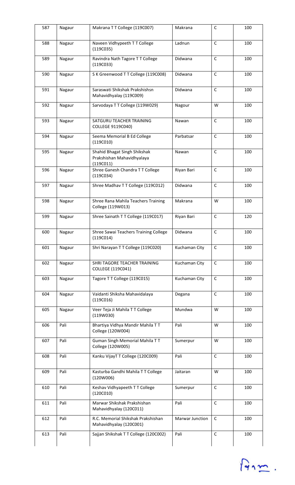| 587 | Nagaur | Makrana TT College (119C007)                                            | Makrana         | С            | 100 |
|-----|--------|-------------------------------------------------------------------------|-----------------|--------------|-----|
| 588 | Nagaur | Naveen Vidhypeeth T T College<br>(119C035)                              | Ladnun          | $\mathsf C$  | 100 |
| 589 | Nagaur | Ravindra Nath Tagore T T College<br>(119C033)                           | Didwana         | $\mathsf C$  | 100 |
| 590 | Nagaur | S K Greenwood T T College (119C008)                                     | Didwana         | $\mathsf C$  | 100 |
| 591 | Nagaur | Saraswati Shikshak Prakshishsn<br>Mahavidhyalay (119C009)               | Didwana         | $\mathsf C$  | 100 |
| 592 | Nagaur | Sarvodaya TT College (119W029)                                          | Nagour          | W            | 100 |
| 593 | Nagaur | SATGURU TEACHER TRAINING<br>COLLEGE 9119C040)                           | Nawan           | $\mathsf{C}$ | 100 |
| 594 | Nagaur | Seema Memorial B Ed College<br>(119C010)                                | Parbatsar       | $\mathsf C$  | 100 |
| 595 | Nagaur | Shahid Bhagat Singh Shikshak<br>Prakshishan Mahavidhyalaya<br>(119C011) | Nawan           | $\mathsf C$  | 100 |
| 596 | Nagaur | Shree Ganesh Chandra TT College<br>(119C034)                            | Riyan Bari      | $\mathsf C$  | 100 |
| 597 | Nagaur | Shree Madhav T T College (119C012)                                      | Didwana         | $\mathsf C$  | 100 |
| 598 | Nagaur | Shree Rana Mahila Teachers Training<br>College (119W013)                | Makrana         | W            | 100 |
| 599 | Nagaur | Shree Sainath TT College (119C017)                                      | Riyan Bari      | $\mathsf C$  | 120 |
| 600 | Nagaur | Shree Sawai Teachers Training College<br>(119C014)                      | Didwana         | $\mathsf C$  | 100 |
| 601 | Nagaur | Shri Narayan TT College (119C020)                                       | Kuchaman City   | $\mathsf C$  | 100 |
| 602 | Nagaur | SHRI TAGORE TEACHER TRAINING<br>COLLEGE (119C041)                       | Kuchaman City   | $\mathsf C$  | 100 |
| 603 | Nagaur | Tagore TT College (119C015)                                             | Kuchaman City   | $\mathsf C$  | 100 |
| 604 | Nagaur | Vaidanti Shiksha Mahavidalaya<br>(119C016)                              | Degana          | $\mathsf C$  | 100 |
| 605 | Nagaur | Veer Teja Ji Mahila TT College<br>(119W030)                             | Mundwa          | W            | 100 |
| 606 | Pali   | Bhartiya Vidhya Mandir Mahila TT<br>College (120W004)                   | Pali            | W            | 100 |
| 607 | Pali   | Guman Singh Memorial Mahila TT<br>College (120W005)                     | Sumerpur        | W            | 100 |
| 608 | Pali   | Kanku VijayT T College (120C009)                                        | Pali            | $\mathsf C$  | 100 |
| 609 | Pali   | Kasturba Gandhi Mahila TT College<br>(120W006)                          | Jaitaran        | W            | 100 |
| 610 | Pali   | Keshav Vidhyapeeth T T College<br>(120C010)                             | Sumerpur        | $\mathsf C$  | 100 |
| 611 | Pali   | Marwar Shikshak Prakshishan<br>Mahavidhyalay (120C011)                  | Pali            | $\mathsf{C}$ | 100 |
| 612 | Pali   | R.C. Memorial Shikshak Prakshishan<br>Mahavidhyalay (120C001)           | Marwar Junction | $\mathsf{C}$ | 100 |
| 613 | Pali   | Sajjan Shikshak TT College (120C002)                                    | Pali            | $\mathsf C$  | 100 |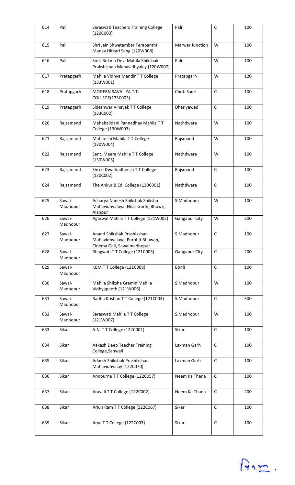| 614 | Pali               | Saraswati Teachers Training College<br>(120C003)                                            | Pali            | C            | 100 |
|-----|--------------------|---------------------------------------------------------------------------------------------|-----------------|--------------|-----|
| 615 | Pali               | Shri Jain Shwetambar Terapanthi<br>Manav Hitkari Sang (120W008)                             | Marwar Junction | W            | 100 |
| 616 | Pali               | Smt. Rukma Devi Mahila Shikshak<br>Prakshishan Mahavidhyalay (120W007)                      | Pali            | W            | 100 |
| 617 | Pratapgarh         | Mahila Vidhya Mandir TT College<br>(133W001)                                                | Pratapgarh      | W            | 120 |
| 618 | Pratapgarh         | <b>MODERN SAVALIYA T.T.</b><br>COLLEGE(133C003)                                             | Choti Sadri     | $\mathsf{C}$ | 100 |
| 619 | Pratapgarh         | Sideshwar Vinayak TT College<br>(133C002)                                                   | Dhariyawad      | $\mathsf{C}$ | 100 |
| 620 | Rajsamand          | Mahabalidani Pannadhay Mahila TT<br>College (130W003)                                       | Nathdwara       | W            | 100 |
| 621 | Rajsamand          | Maharishi Mahila TT College<br>(130W004)                                                    | Rajsmand        | W            | 100 |
| 622 | Rajsamand          | Sant. Meera Mahila T T College<br>(130W005)                                                 | Nathdwara       | W            | 100 |
| 623 | Rajsamand          | Shree Dwarkadheesh T T College<br>(130C002)                                                 | Rajsmand        | $\mathsf C$  | 100 |
| 624 | Rajsamand          | The Ankur B.Ed. College (130C001)                                                           | Nathdwara       | $\mathsf{C}$ | 100 |
| 625 | Sawai-<br>Madhopur | Acharya Nanesh Shikshak Shiksha<br>Mahavidhyalaya, Near Gorhi, Bhowri,<br>Alanpur           | S.Madhopur      | W            | 100 |
| 626 | Sawai-<br>Madhopur | Agarwal Mahila TT College (121W005)                                                         | Gangapur City   | W            | 200 |
| 627 | Sawai-<br>Madhopur | Anand Shikshak Prashikshan<br>Mahavidhyalaya, Purohit Bhawan,<br>Cinema Gali, Sawaimadhopur | S.Madhopur      | $\mathsf C$  | 100 |
| 628 | Sawai-<br>Madhopur | Bhagwati T T College (121C003)                                                              | Gangapur City   | $\mathsf C$  | 200 |
| 629 | Sawai-<br>Madhopur | KBM T T College (121C008)                                                                   | Bonli           | $\mathsf C$  | 100 |
| 630 | Sawai-<br>Madhopur | Mahila Shiksha Gramin Mahila<br>Vidhyapeeth (121W006)                                       | S.Madhopur      | W            | 100 |
| 631 | Sawai-<br>Madhopur | Radha Krishan T T College (121C004)                                                         | S.Madhopur      | $\mathsf C$  | 300 |
| 632 | Sawai-<br>Madhopur | Saraswati Mahila TT College<br>(121W007)                                                    | S.Madhopur      | W            | 100 |
| 633 | Sikar              | A.N. T T College (122C001)                                                                  | Sikar           | $\mathsf{C}$ | 100 |
| 634 | Sikar              | Aakash Deep Teacher Training<br>College, Sanwali                                            | Laxman Garh     | $\mathsf C$  | 100 |
| 635 | Sikar              | Adarsh Shikshak Prashikshan<br>Mahavidhyalay (122C070)                                      | Laxman Garh     | $\mathsf C$  | 100 |
| 636 | Sikar              | Annpurna T T College (122C057)                                                              | Neem Ka Thana   | $\mathsf C$  | 100 |
| 637 | Sikar              | Aravali T T College (122C002)                                                               | Neem Ka Thana   | $\mathsf{C}$ | 200 |
| 638 | Sikar              | Arjun Ram TT College (122C067)                                                              | Sikar           | $\mathsf C$  | 100 |
| 639 | Sikar              | Arya TT College (122C003)                                                                   | Sikar           | $\mathsf C$  | 100 |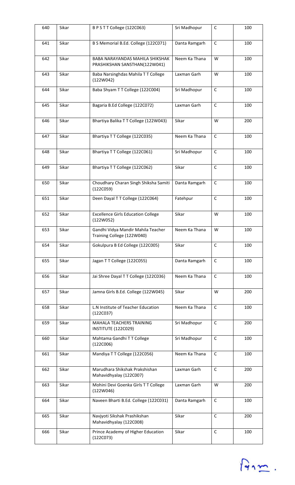| 640 | Sikar | BPSTTCollege (122C063)                                           | Sri Madhopur  | C            | 100 |
|-----|-------|------------------------------------------------------------------|---------------|--------------|-----|
| 641 | Sikar | B S Memorial B.Ed. College (122C071)                             | Danta Ramgarh | $\mathsf{C}$ | 100 |
| 642 | Sikar | BABA NARAYANDAS MAHILA SHIKSHAK<br>PRASHIKSHAN SANSTHAN(122W041) | Neem Ka Thana | W            | 100 |
| 643 | Sikar | Baba Narsinghdas Mahila TT College<br>(122W042)                  | Laxman Garh   | W            | 100 |
| 644 | Sikar | Baba Shyam T T College (122C004)                                 | Sri Madhopur  | $\mathsf C$  | 100 |
| 645 | Sikar | Bagaria B.Ed College (122C072)                                   | Laxman Garh   | $\mathsf C$  | 100 |
| 646 | Sikar | Bhartiya Balika TT College (122W043)                             | Sikar         | W            | 200 |
| 647 | Sikar | Bhartiya T T College (122C035)                                   | Neem Ka Thana | C            | 100 |
| 648 | Sikar | Bhartiya T T College (122C061)                                   | Sri Madhopur  | $\mathsf{C}$ | 100 |
| 649 | Sikar | Bhartiya T T College (122C062)                                   | Sikar         | C            | 100 |
| 650 | Sikar | Choudhary Charan Singh Shiksha Samiti<br>(122C059)               | Danta Ramgarh | C            | 100 |
| 651 | Sikar | Deen Dayal T T College (122C064)                                 | Fatehpur      | $\mathsf C$  | 100 |
| 652 | Sikar | <b>Excellence Girls Education College</b><br>(122W052)           | Sikar         | W            | 100 |
| 653 | Sikar | Gandhi Vidya Mandir Mahila Teacher<br>Training College (122W040) | Neem Ka Thana | W            | 100 |
| 654 | Sikar | Gokulpura B Ed College (122C005)                                 | Sikar         | C            | 100 |
| 655 | Sikar | Jagan TT College (122C055)                                       | Danta Ramgarh | $\mathsf C$  | 100 |
| 656 | Sikar | Jai Shree Dayal T T College (122C036)                            | Neem Ka Thana | $\mathsf{C}$ | 100 |
| 657 | Sikar | Jamna Girls B.Ed. College (122W045)                              | Sikar         | W            | 200 |
| 658 | Sikar | L.N Institute of Teacher Education<br>(122C037)                  | Neem Ka Thana | $\mathsf{C}$ | 100 |
| 659 | Sikar | MAHALA TEACHERS TRAINING<br>INSTITUTE (122C029)                  | Sri Madhopur  | $\mathsf{C}$ | 200 |
| 660 | Sikar | Mahtama Gandhi T T College<br>(122C006)                          | Sri Madhopur  | $\mathsf C$  | 100 |
| 661 | Sikar | Mandiya TT College (122C056)                                     | Neem Ka Thana | $\mathsf C$  | 100 |
| 662 | Sikar | Marudhara Shikshak Prakshishan<br>Mahavidhyalay (122C007)        | Laxman Garh   | $\mathsf{C}$ | 200 |
| 663 | Sikar | Mohini Devi Goenka Girls TT College<br>(122W046)                 | Laxman Garh   | W            | 200 |
| 664 | Sikar | Naveen Bharti B.Ed. College (122C031)                            | Danta Ramgarh | $\mathsf C$  | 100 |
| 665 | Sikar | Navjyoti Sikshak Prashikshan<br>Mahavidhyalay (122C008)          | Sikar         | $\mathsf{C}$ | 200 |
| 666 | Sikar | Prince Academy of Higher Education<br>(122C073)                  | Sikar         | $\mathsf C$  | 100 |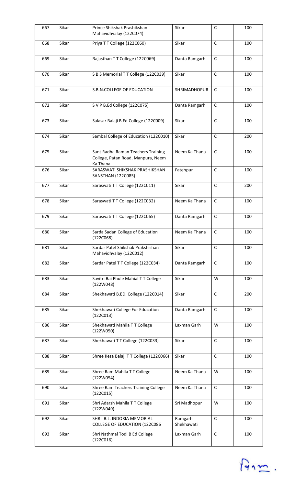| 667 | Sikar | Prince Shikshak Prashikshan<br>Mahavidhyalay (122C074)                               | Sikar                 | $\mathsf C$  | 100 |
|-----|-------|--------------------------------------------------------------------------------------|-----------------------|--------------|-----|
| 668 | Sikar | Priya TT College (122C060)                                                           | Sikar                 | $\mathsf C$  | 100 |
| 669 | Sikar | Rajasthan TT College (122C069)                                                       | Danta Ramgarh         | $\mathsf C$  | 100 |
| 670 | Sikar | S B S Memorial T T College (122C039)                                                 | Sikar                 | $\mathsf{C}$ | 100 |
| 671 | Sikar | S.B.N.COLLEGE OF EDUCATION                                                           | SHRIMADHOPUR          | $\mathsf{C}$ | 100 |
| 672 | Sikar | S V P B.Ed College (122C075)                                                         | Danta Ramgarh         | $\mathsf C$  | 100 |
| 673 | Sikar | Salasar Balaji B Ed College (122C009)                                                | Sikar                 | $\mathsf{C}$ | 100 |
| 674 | Sikar | Sambal College of Education (122C010)                                                | Sikar                 | $\mathsf{C}$ | 200 |
| 675 | Sikar | Sant Radha Raman Teachers Training<br>College, Patan Road, Manpura, Neem<br>Ka Thana | Neem Ka Thana         | $\mathsf{C}$ | 100 |
| 676 | Sikar | SARASWATI SHIKSHAK PRASHIKSHAN<br>SANSTHAN (122C085)                                 | Fatehpur              | $\mathsf C$  | 100 |
| 677 | Sikar | Saraswati TT College (122C011)                                                       | Sikar                 | $\mathsf{C}$ | 200 |
| 678 | Sikar | Saraswati TT College (122C032)                                                       | Neem Ka Thana         | C            | 100 |
| 679 | Sikar | Saraswati TT College (122C065)                                                       | Danta Ramgarh         | $\mathsf{C}$ | 100 |
| 680 | Sikar | Sarda Sadan College of Education<br>(122C068)                                        | Neem Ka Thana         | C            | 100 |
| 681 | Sikar | Sardar Patel Shikshak Prakshishan<br>Mahavidhyalay (122C012)                         | Sikar                 | $\mathsf{C}$ | 100 |
| 682 | Sikar | Sardar Patel T T College (122C034)                                                   | Danta Ramgarh         | $\mathsf{C}$ | 100 |
| 683 | Sikar | Savitri Bai Phule Mahial TT College<br>(122W048)                                     | Sikar                 | W            | 100 |
| 684 | Sikar | Shekhawati B.ED. College (122C014)                                                   | Sikar                 | $\mathsf C$  | 200 |
| 685 | Sikar | Shekhawati College For Education<br>(122C013)                                        | Danta Ramgarh         | $\mathsf{C}$ | 100 |
| 686 | Sikar | Shekhawati Mahila TT College<br>(122W050)                                            | Laxman Garh           | W            | 100 |
| 687 | Sikar | Shekhawati T T College (122C033)                                                     | Sikar                 | $\mathsf{C}$ | 100 |
| 688 | Sikar | Shree Kesa Balaji TT College (122C066)                                               | Sikar                 | $\mathsf C$  | 100 |
| 689 | Sikar | Shree Ram Mahila T T College<br>(122W054)                                            | Neem Ka Thana         | W            | 100 |
| 690 | Sikar | Shree Ram Teachers Training College<br>(122C015)                                     | Neem Ka Thana         | $\mathsf{C}$ | 100 |
| 691 | Sikar | Shri Adarsh Mahila TT College<br>(122W049)                                           | Sri Madhopur          | W            | 100 |
| 692 | Sikar | SHRI B.L. INDORIA MEMORIAL<br><b>COLLEGE OF EDUCATION (122C086</b>                   | Ramgarh<br>Shekhawati | $\mathsf{C}$ | 100 |
| 693 | Sikar | Shri Nathmal Todi B Ed College<br>(122C016)                                          | Laxman Garh           | $\mathsf C$  | 100 |

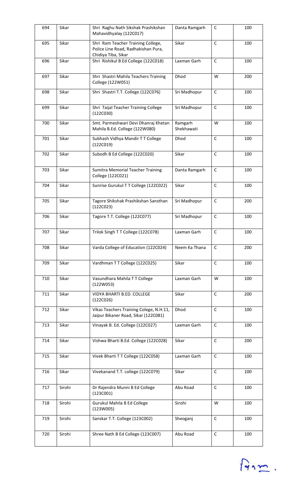| 694 | Sikar  | Shri Raghu Nath Sikshak Prashikshan<br>Mahavidhyalay (122C017)                                   | Danta Ramgarh         | $\mathsf C$  | 100 |
|-----|--------|--------------------------------------------------------------------------------------------------|-----------------------|--------------|-----|
| 695 | Sikar  | Shri Ram Teacher Training College,<br>Police Line Road, Radhakishan Pura,<br>Chidiya Tiba, Sikar | Sikar                 | $\mathsf{C}$ | 100 |
| 696 | Sikar  | Shri Rishikul B Ed College (122C018)                                                             | Laxman Garh           | $\mathsf C$  | 100 |
| 697 | Sikar  | Shri Shastri Mahila Teachers Training<br>College (122W051)                                       | Dhod                  | W            | 200 |
| 698 | Sikar  | Shri Shastri T.T. College (122C076)                                                              | Sri Madhopur          | $\mathsf{C}$ | 100 |
| 699 | Sikar  | Shri Taijal Teacher Training College<br>(122C030)                                                | Sri Madhopur          | $\mathsf C$  | 100 |
| 700 | Sikar  | Smt. Parmeshwari Devi Dhanraj Khetan<br>Mahila B.Ed. College (122W080)                           | Ramgarh<br>Shekhawati | W            | 100 |
| 701 | Sikar  | Subhash Vidhya Mandir TT College<br>(122C019)                                                    | Dhod                  | $\mathsf C$  | 100 |
| 702 | Sikar  | Subodh B Ed College (122C020)                                                                    | Sikar                 | $\mathsf{C}$ | 100 |
| 703 | Sikar  | <b>Sumitra Memorial Teacher Training</b><br>College (122C021)                                    | Danta Ramgarh         | C            | 100 |
| 704 | Sikar  | Sunrise Gurukul T T College (122C022)                                                            | Sikar                 | $\mathsf C$  | 100 |
| 705 | Sikar  | Tagore Shikshak Prashikshan Sansthan<br>(122C023)                                                | Sri Madhopur          | C            | 200 |
| 706 | Sikar  | Tagore T.T. College (122C077)                                                                    | Sri Madhopur          | $\mathsf{C}$ | 100 |
| 707 | Sikar  | Trilok Singh TT College (122C078)                                                                | Laxman Garh           | C            | 100 |
| 708 | Sikar  | Varda College of Education (122C024)                                                             | Neem Ka Thana         | $\mathsf C$  | 200 |
| 709 | Sikar  | Vardhman TT College (122C025)                                                                    | Sikar                 | $\mathsf{C}$ | 100 |
| 710 | Sikar  | Vasundhara Mahila TT College<br>(122W053)                                                        | Laxman Garh           | W            | 100 |
| 711 | Sikar  | <b>VIDYA BHARTI B.ED. COLLEGE</b><br>(122C026)                                                   | Sikar                 | $\mathsf{C}$ | 200 |
| 712 | Sikar  | Vikas Teachers Training Colege, N.H.11,<br>Jaipur Bikaner Road, Sikar (122C081)                  | Dhod                  | $\mathsf C$  | 100 |
| 713 | Sikar  | Vinayak B. Ed. College (122C027)                                                                 | Laxman Garh           | $\mathsf{C}$ | 100 |
| 714 | Sikar  | Vishwa Bharti B.Ed. College (122C028)                                                            | Sikar                 | $\mathsf C$  | 200 |
| 715 | Sikar  | Vivek Bharti TT College (122C058)                                                                | Laxman Garh           | C            | 100 |
| 716 | Sikar  | Vivekanand T.T. college (122C079)                                                                | Sikar                 | C            | 100 |
| 717 | Sirohi | Dr Rajendra Munni B Ed College<br>(123C001)                                                      | Abu Road              | C            | 100 |
| 718 | Sirohi | Gurukul Mahila B Ed College<br>(123W005)                                                         | Sirohi                | W            | 100 |
| 719 | Sirohi | Sanskar T.T. College (123C002)                                                                   | Sheoganj              | $\mathsf C$  | 100 |
| 720 | Sirohi | Shree Nath B Ed College (123C007)                                                                | Abu Road              | $\mathsf C$  | 100 |

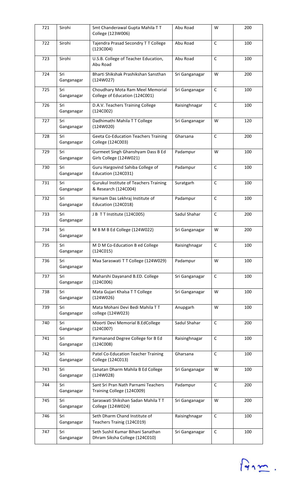| 721 | Sirohi            | Smt Chanderawal Gupta Mahila TT<br>College (123W006)                  | Abu Road       | W            | 200 |
|-----|-------------------|-----------------------------------------------------------------------|----------------|--------------|-----|
| 722 | Sirohi            | Tajendra Prasad Secondry T T College<br>(123C004)                     | Abu Road       | $\mathsf{C}$ | 100 |
| 723 | Sirohi            | U.S.B. College of Teacher Education,<br>Abu Road                      | Abu Road       | $\mathsf C$  | 100 |
| 724 | Sri<br>Ganganagar | Bharti Shikshak Prashikshan Sansthan<br>(124W027)                     | Sri Ganganagar | W            | 200 |
| 725 | Sri<br>Ganganagar | Choudhary Mota Ram Meel Memorial<br>College of Education (124C001)    | Sri Ganganagar | $\mathsf C$  | 100 |
| 726 | Sri<br>Ganganagar | D.A.V. Teachers Training College<br>(124C002)                         | Raisinghnagar  | $\mathsf C$  | 100 |
| 727 | Sri<br>Ganganagar | Dadhimathi Mahila TT College<br>(124W020)                             | Sri Ganganagar | W            | 120 |
| 728 | Sri<br>Ganganagar | <b>Geeta Co-Education Teachers Training</b><br>College (124C003)      | Gharsana       | $\mathsf{C}$ | 200 |
| 729 | Sri<br>Ganganagar | Gurmeet Singh Ghanshyam Dass B Ed<br>Girls College (124W021)          | Padampur       | W            | 100 |
| 730 | Sri<br>Ganganagar | Guru Hargovind Sahiba College of<br>Education (124C031)               | Padampur       | $\mathsf{C}$ | 100 |
| 731 | Sri<br>Ganganagar | <b>Gurukul Institute of Teachers Training</b><br>& Research (124C004) | Suratgarh      | C            | 100 |
| 732 | Sri<br>Ganganagar | Harnam Das Lekhraj Institute of<br>Education (124C018)                | Padampur       | $\mathsf{C}$ | 100 |
| 733 | Sri<br>Ganganagar | J B T T Institute (124C005)                                           | Sadul Shahar   | $\mathsf C$  | 200 |
| 734 | Sri<br>Ganganagar | M B M B Ed College (124W022)                                          | Sri Ganganagar | W            | 200 |
| 735 | Sri<br>Ganganagar | M D M Co-Education B ed College<br>(124C015)                          | Raisinghnagar  | C            | 100 |
| 736 | Sri<br>Ganganagar | Maa Saraswati TT College (124W029)                                    | Padampur       | W            | 100 |
| 737 | Sri<br>Ganganagar | Maharshi Dayanand B.ED. College<br>(124C006)                          | Sri Ganganagar | $\mathsf{C}$ | 100 |
| 738 | Sri<br>Ganganagar | Mata Gujari Khalsa T T College<br>(124W026)                           | Sri Ganganagar | W            | 100 |
| 739 | Sri<br>Ganganagar | Mata Mohani Devi Bedi Mahila TT<br>college (124W023)                  | Anupgarh       | W            | 100 |
| 740 | Sri<br>Ganganagar | Moorti Devi Memorial B.EdCollege<br>(124C007)                         | Sadul Shahar   | $\mathsf{C}$ | 200 |
| 741 | Sri<br>Ganganagar | Parmanand Degree College for B Ed<br>(124C008)                        | Raisinghnagar  | $\mathsf C$  | 100 |
| 742 | Sri<br>Ganganagar | Patel Co-Education Teacher Training<br>College (124C013)              | Gharsana       | C            | 100 |
| 743 | Sri<br>Ganganagar | Sanatan Dharm Mahila B Ed College<br>(124W028)                        | Sri Ganganagar | W            | 100 |
| 744 | Sri<br>Ganganagar | Sant Sri Pran Nath Parnami Teachers<br>Training College (124C009)     | Padampur       | $\mathsf C$  | 200 |
| 745 | Sri<br>Ganganagar | Saraswati Shikshan Sadan Mahila TT<br>College (124W024)               | Sri Ganganagar | W            | 200 |
| 746 | Sri<br>Ganganagar | Seth Dharm Chand Institute of<br>Teachers Trainig (124C019)           | Raisinghnagar  | $\mathsf C$  | 100 |
| 747 | Sri<br>Ganganagar | Seth Sushil Kumar Bihani Sanathan<br>Dhram Siksha College (124C010)   | Sri Ganganagar | $\mathsf C$  | 100 |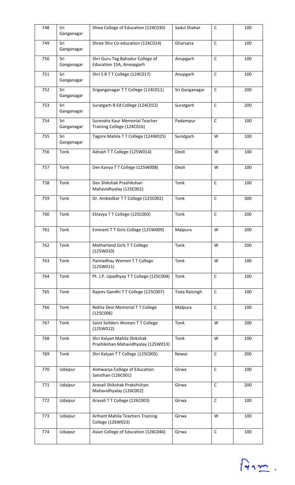| 748 | Sri<br>Ganganagar | Shiva College of Education (124C030)                               | Sadul Shahar         | $\mathsf C$  | 100 |
|-----|-------------------|--------------------------------------------------------------------|----------------------|--------------|-----|
| 749 | Sri<br>Ganganagar | Shree Shiv Co-education (124C014)                                  | Gharsana             | $\mathsf{C}$ | 100 |
| 750 | Sri<br>Ganganagar | Shri Guru Teg Bahadur College of<br>Education 15A, Anoopgarh       | Anupgarh             | $\mathsf C$  | 100 |
| 751 | Sri<br>Ganganagar | Shri S R T T College (124C017)                                     | Anupgarh             | $\mathsf C$  | 100 |
| 752 | Sri<br>Ganganagar | Sriganganagar TT College (124C011)                                 | Sri Ganganagar       | $\mathsf{C}$ | 200 |
| 753 | Sri<br>Ganganagar | Suratgarh B Ed College (124C012)                                   | Suratgarh            | $\mathsf C$  | 200 |
| 754 | Sri<br>Ganganagar | Surendra Kaur Memorial Teacher<br>Training College (124C016)       | Padampur             | $\mathsf{C}$ | 100 |
| 755 | Sri<br>Ganganagar | Tagore Mahila TT College (124W025)                                 | Suratgarh            | W            | 100 |
| 756 | Tonk              | Adrash TT College (125W014)                                        | Deoli                | W            | 100 |
| 757 | Tonk              | Dev Kanya TT College (125W008)                                     | Deoli                | W            | 100 |
| 758 | Tonk              | Dev Shikshak Prashikshan<br>Mahavidhyalay (125C001)                | Tonk                 | $\mathsf C$  | 100 |
| 759 | Tonk              | Dr. Ambedkar T T College (125C002)                                 | Tonk                 | $\mathsf C$  | 300 |
| 760 | Tonk              | Eklavya TT College (125C003)                                       | Tonk                 | $\mathsf C$  | 200 |
| 761 | Tonk              | Eminent TT Girls College (125W009)                                 | Malpura              | W            | 200 |
| 762 | Tonk              | Motherland Girls TT College<br>(125W010)                           | Tonk                 | W            | 200 |
| 763 | Tonk              | Pannadhay Women TT College<br>(125W011)                            | Tonk                 | W            | 100 |
| 764 | Tonk              | Pt. J.P. Upadhyay T T College (125C004)                            | Tonk                 | $\mathsf C$  | 100 |
| 765 | Tonk              | Rajeev Gandhi T T College (125C007)                                | <b>Toda Raisingh</b> | $\mathsf C$  | 100 |
| 766 | Tonk              | Rekha Devi Memorial TT College<br>(125C006)                        | Malpura              | $\mathsf C$  | 100 |
| 767 | Tonk              | Saint Soilders Women TT College<br>(125W012)                       | Tonk                 | W            | 200 |
| 768 | Tonk              | Shri Kalyan Mahila Shikshak<br>Prashikshan Mahavidhyalay (125W013) | Tonk                 | W            | 100 |
| 769 | Tonk              | Shri Kalyan TT College (125C005)                                   | Newai                | $\mathsf{C}$ | 200 |
| 770 | Udaipur           | Aishwarya College of Education<br>Sansthan (126C001)               | Girwa                | $\mathsf C$  | 100 |
| 771 | Udaipur           | Aravali Shikshak Prakshishan<br>Mahavidhyalay (126C002)            | Girwa                | $\mathsf C$  | 200 |
| 772 | Udaipur           | Aravali T T College (126C003)                                      | Girwa                | $\mathsf C$  | 100 |
| 773 | Udaipur           | Arihant Mahila Teachers Training<br>College (126W023)              | Girwa                | W            | 100 |
| 774 | Udaipur           | Asian College of Education (126C046)                               | Girwa                | $\mathsf C$  | 100 |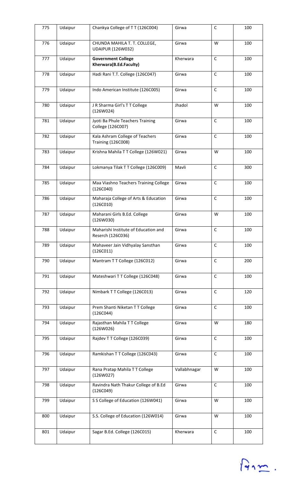| 775 | Udaipur | Chankya College of TT (126C004)                              | Girwa        | $\mathsf C$  | 100 |
|-----|---------|--------------------------------------------------------------|--------------|--------------|-----|
| 776 | Udaipur | CHUNDA MAHILA T. T. COLLEGE,<br><b>UDAIPUR (126W032)</b>     | Girwa        | W            | 100 |
| 777 | Udaipur | <b>Government College</b><br>Kherwara(B.Ed.Faculty)          | Kherwara     | $\mathsf C$  | 100 |
| 778 | Udaipur | Hadi Rani T.T. College (126C047)                             | Girwa        | $\mathsf{C}$ | 100 |
| 779 | Udaipur | Indo American Institute (126C005)                            | Girwa        | $\mathsf{C}$ | 100 |
| 780 | Udaipur | J R Sharma Girl's T T College<br>(126W024)                   | Jhadol       | W            | 100 |
| 781 | Udaipur | Jyoti Ba Phule Teachers Training<br>College (126C007)        | Girwa        | $\mathsf{C}$ | 100 |
| 782 | Udaipur | Kala Ashram College of Teachers<br><b>Training (126C008)</b> | Girwa        | $\mathsf{C}$ | 100 |
| 783 | Udaipur | Krishna Mahila T T College (126W021)                         | Girwa        | W            | 100 |
| 784 | Udaipur | Lokmanya Tilak T T College (126C009)                         | Mavli        | $\mathsf C$  | 300 |
| 785 | Udaipur | Maa Viashno Teachers Training College<br>(126C040)           | Girwa        | C            | 100 |
| 786 | Udaipur | Maharaja College of Arts & Education<br>(126C010)            | Girwa        | $\mathsf{C}$ | 100 |
| 787 | Udaipur | Maharani Girls B.Ed. College<br>(126W030)                    | Girwa        | W            | 100 |
| 788 | Udaipur | Maharishi Institute of Education and<br>Reserch (126C036)    | Girwa        | $\mathsf C$  | 100 |
| 789 | Udaipur | Mahaveer Jain Vidhyalay Sansthan<br>(126C011)                | Girwa        | $\mathsf{C}$ | 100 |
| 790 | Udaipur | Mantram TT College (126C012)                                 | Girwa        | $\mathsf C$  | 200 |
| 791 | Udaipur | Mateshwari TT College (126C048)                              | Girwa        | $\mathsf C$  | 100 |
| 792 | Udaipur | Nimbark T T College (126C013)                                | Girwa        | $\mathsf C$  | 120 |
| 793 | Udaipur | Prem Shanti Niketan TT College<br>(126C044)                  | Girwa        | $\mathsf C$  | 100 |
| 794 | Udaipur | Rajasthan Mahila TT College<br>(126W026)                     | Girwa        | W            | 180 |
| 795 | Udaipur | Rajdev T T College (126C039)                                 | Girwa        | $\mathsf C$  | 100 |
| 796 | Udaipur | Ramkishan TT College (126C043)                               | Girwa        | $\mathsf{C}$ | 100 |
| 797 | Udaipur | Rana Pratap Mahila TT College<br>(126W027)                   | Vallabhnagar | W            | 100 |
| 798 | Udaipur | Ravindra Nath Thakur College of B.Ed<br>(126C049)            | Girwa        | $\mathsf C$  | 100 |
| 799 | Udaipur | S S College of Education (126W041)                           | Girwa        | W            | 100 |
| 800 | Udaipur | S.S. College of Education (126W014)                          | Girwa        | W            | 100 |
| 801 | Udaipur | Sagar B.Ed. College (126C015)                                | Kherwara     | $\mathsf C$  | 100 |